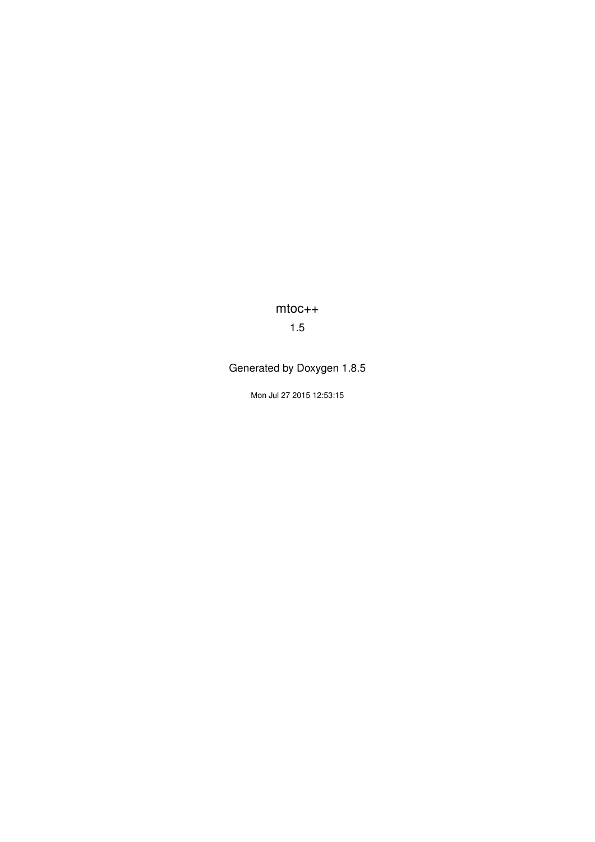<span id="page-0-0"></span>mtoc++ 1.5

# Generated by Doxygen 1.8.5

Mon Jul 27 2015 12:53:15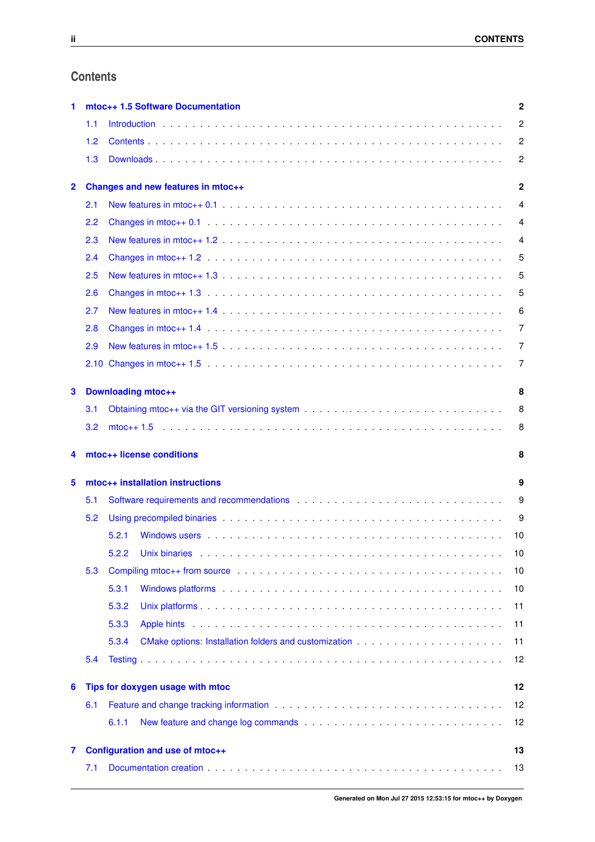# **Contents**

| 1              |      | mtoc++ 1.5 Software Documentation                                                                                                                                                                                             | $\mathbf 2$    |
|----------------|------|-------------------------------------------------------------------------------------------------------------------------------------------------------------------------------------------------------------------------------|----------------|
|                | 1.1  |                                                                                                                                                                                                                               | 2              |
|                | 1.2  |                                                                                                                                                                                                                               | 2              |
|                | 1.3  |                                                                                                                                                                                                                               | $\overline{2}$ |
|                |      |                                                                                                                                                                                                                               |                |
| $\overline{2}$ |      | Changes and new features in mtoc++                                                                                                                                                                                            | $\mathbf 2$    |
|                | 2.1  |                                                                                                                                                                                                                               | 4              |
|                | 2.2  |                                                                                                                                                                                                                               | 4              |
|                | 2.3  |                                                                                                                                                                                                                               | 4              |
|                | 2.4  |                                                                                                                                                                                                                               | 5              |
|                | 2.5  |                                                                                                                                                                                                                               | 5              |
|                | 2.6  |                                                                                                                                                                                                                               | 5              |
|                | 2.7  |                                                                                                                                                                                                                               | 6              |
|                | 2.8  | Changes in mtoc <sub>++</sub> 1.4 $\ldots$ , $\ldots$ , $\ldots$ , $\ldots$ , $\ldots$ , $\ldots$ , $\ldots$ , $\ldots$ , $\ldots$ , $\ldots$ , $\ldots$ , $\ldots$ , $\ldots$                                                | 7              |
|                | 2.9  |                                                                                                                                                                                                                               | 7              |
|                | 2.10 |                                                                                                                                                                                                                               | 7              |
|                |      |                                                                                                                                                                                                                               |                |
| 3              |      | <b>Downloading mtoc++</b>                                                                                                                                                                                                     | 8              |
|                | 3.1  |                                                                                                                                                                                                                               | 8              |
|                | 3.2  |                                                                                                                                                                                                                               | 8              |
| 4              |      | mtoc++ license conditions                                                                                                                                                                                                     | 8              |
|                |      |                                                                                                                                                                                                                               |                |
| 5              |      | mtoc++ installation instructions                                                                                                                                                                                              | 9              |
|                | 5.1  |                                                                                                                                                                                                                               | 9              |
|                | 5.2  |                                                                                                                                                                                                                               | 9              |
|                |      | 5.2.1                                                                                                                                                                                                                         | 10             |
|                |      | 5.2.2                                                                                                                                                                                                                         | 10             |
|                | 5.3  | Compiling mtoc++ from source education of the state of the state of the source of the state of the state of the state of the state of the state of the state of the state of the state of the state of the state of the state | 10             |
|                |      | 5.3.1                                                                                                                                                                                                                         | 10             |
|                |      | 5.3.2                                                                                                                                                                                                                         | 11             |
|                |      | 5.3.3                                                                                                                                                                                                                         | 11             |
|                |      | 5.3.4                                                                                                                                                                                                                         | 11             |
|                | 5.4  |                                                                                                                                                                                                                               | 12             |
| 6              |      | Tips for doxygen usage with mtoc                                                                                                                                                                                              | 12             |
|                | 6.1  |                                                                                                                                                                                                                               | 12             |
|                |      | 6.1.1                                                                                                                                                                                                                         | 12             |
|                |      |                                                                                                                                                                                                                               |                |
| 7              |      | Configuration and use of mtoc++                                                                                                                                                                                               | 13             |
|                | 7.1  |                                                                                                                                                                                                                               | 13             |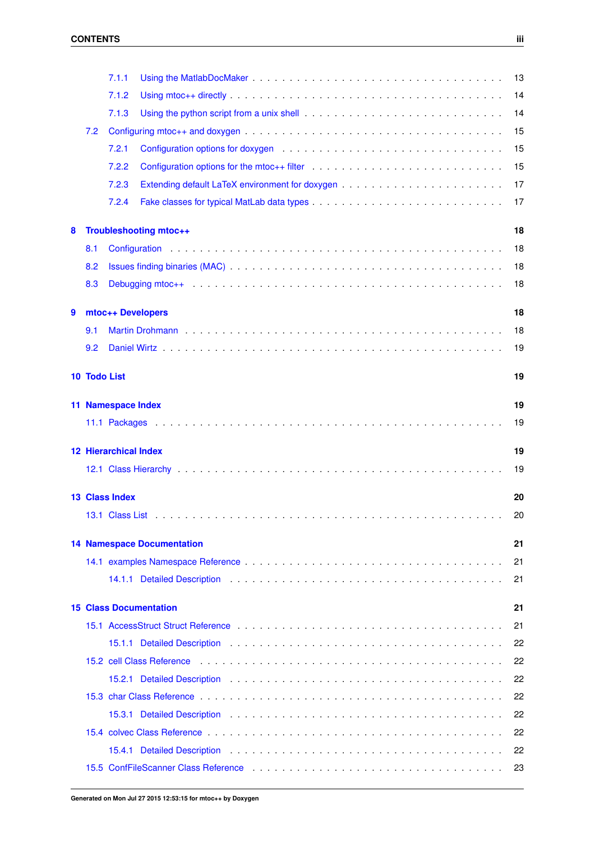|   |              | 7.1.1                        |                                                                                                                                                                                                                                | 13 |
|---|--------------|------------------------------|--------------------------------------------------------------------------------------------------------------------------------------------------------------------------------------------------------------------------------|----|
|   |              | 7.1.2                        |                                                                                                                                                                                                                                | 14 |
|   |              | 7.1.3                        |                                                                                                                                                                                                                                | 14 |
|   | 7.2          |                              |                                                                                                                                                                                                                                | 15 |
|   |              | 7.2.1                        | Configuration options for doxygen enterprise and and all the set of the set of the set of the set of the set of the set of the set of the set of the set of the set of the set of the set of the set of the set of the set of  | 15 |
|   |              | 7.2.2                        |                                                                                                                                                                                                                                | 15 |
|   |              | 7.2.3                        |                                                                                                                                                                                                                                | 17 |
|   |              | 7.2.4                        |                                                                                                                                                                                                                                | 17 |
| 8 |              |                              | <b>Troubleshooting mtoc++</b>                                                                                                                                                                                                  | 18 |
|   | 8.1          |                              |                                                                                                                                                                                                                                | 18 |
|   | 8.2          |                              |                                                                                                                                                                                                                                | 18 |
|   | 8.3          |                              |                                                                                                                                                                                                                                | 18 |
|   |              |                              |                                                                                                                                                                                                                                |    |
| 9 |              |                              | mtoc++ Developers                                                                                                                                                                                                              | 18 |
|   | 9.1          |                              |                                                                                                                                                                                                                                | 18 |
|   | 9.2          |                              |                                                                                                                                                                                                                                | 19 |
|   | 10 Todo List |                              |                                                                                                                                                                                                                                | 19 |
|   |              |                              |                                                                                                                                                                                                                                |    |
|   |              | <b>11 Namespace Index</b>    |                                                                                                                                                                                                                                | 19 |
|   |              |                              |                                                                                                                                                                                                                                | 19 |
|   |              | <b>12 Hierarchical Index</b> |                                                                                                                                                                                                                                | 19 |
|   |              |                              |                                                                                                                                                                                                                                | 19 |
|   |              | <b>13 Class Index</b>        |                                                                                                                                                                                                                                | 20 |
|   |              | 13.1 Class List              |                                                                                                                                                                                                                                | 20 |
|   |              |                              |                                                                                                                                                                                                                                |    |
|   |              |                              | <b>14 Namespace Documentation</b>                                                                                                                                                                                              | 21 |
|   |              |                              |                                                                                                                                                                                                                                | 21 |
|   |              |                              |                                                                                                                                                                                                                                | 21 |
|   |              |                              | <b>15 Class Documentation</b>                                                                                                                                                                                                  | 21 |
|   |              |                              |                                                                                                                                                                                                                                | 21 |
|   |              |                              |                                                                                                                                                                                                                                | 22 |
|   |              |                              |                                                                                                                                                                                                                                | 22 |
|   |              |                              |                                                                                                                                                                                                                                | 22 |
|   |              |                              |                                                                                                                                                                                                                                | 22 |
|   |              |                              |                                                                                                                                                                                                                                | 22 |
|   |              |                              |                                                                                                                                                                                                                                | 22 |
|   |              |                              |                                                                                                                                                                                                                                |    |
|   |              |                              |                                                                                                                                                                                                                                | 22 |
|   |              |                              | 15.5 ConfFileScanner Class Reference (Additional Additional Additional Additional Additional Additional Additional Additional Additional Additional Additional Additional Additional Additional Additional Additional Addition | 23 |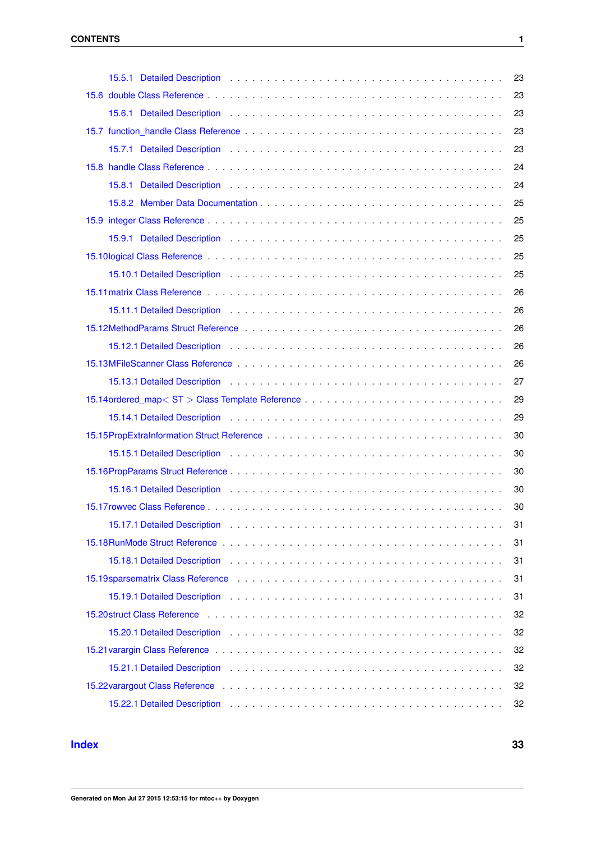|                                                                                                                                                                                                                                | 23 |
|--------------------------------------------------------------------------------------------------------------------------------------------------------------------------------------------------------------------------------|----|
|                                                                                                                                                                                                                                | 23 |
|                                                                                                                                                                                                                                | 23 |
|                                                                                                                                                                                                                                | 23 |
|                                                                                                                                                                                                                                | 23 |
|                                                                                                                                                                                                                                | 24 |
|                                                                                                                                                                                                                                | 24 |
|                                                                                                                                                                                                                                | 25 |
|                                                                                                                                                                                                                                | 25 |
|                                                                                                                                                                                                                                | 25 |
|                                                                                                                                                                                                                                | 25 |
|                                                                                                                                                                                                                                | 25 |
|                                                                                                                                                                                                                                | 26 |
| 15.11.1 Detailed Description enterprise and an example of the set of the set of the set of the set of the set of the set of the set of the set of the set of the set of the set of the set of the set of the set of the set of | 26 |
|                                                                                                                                                                                                                                | 26 |
|                                                                                                                                                                                                                                | 26 |
|                                                                                                                                                                                                                                | 26 |
|                                                                                                                                                                                                                                | 27 |
|                                                                                                                                                                                                                                |    |
|                                                                                                                                                                                                                                | 29 |
|                                                                                                                                                                                                                                | 29 |
|                                                                                                                                                                                                                                | 30 |
|                                                                                                                                                                                                                                | 30 |
|                                                                                                                                                                                                                                | 30 |
|                                                                                                                                                                                                                                | 30 |
|                                                                                                                                                                                                                                | 30 |
| 15.17.1 Detailed Description enterprise and an enterprise of the contract of the contract of the contract of the contract of the contract of the contract of the contract of the contract of the contract of the contract of t | 31 |
|                                                                                                                                                                                                                                | 31 |
|                                                                                                                                                                                                                                | 31 |
|                                                                                                                                                                                                                                | 31 |
|                                                                                                                                                                                                                                | 31 |
|                                                                                                                                                                                                                                | 32 |
| 15.20.1 Detailed Description entertainment and the second service of the service of the service of the service of the service of the service of the service of the service of the service of the service of the service of the | 32 |
|                                                                                                                                                                                                                                | 32 |
|                                                                                                                                                                                                                                | 32 |
|                                                                                                                                                                                                                                | 32 |

## <span id="page-3-0"></span>**[Index](#page-35-0) 33**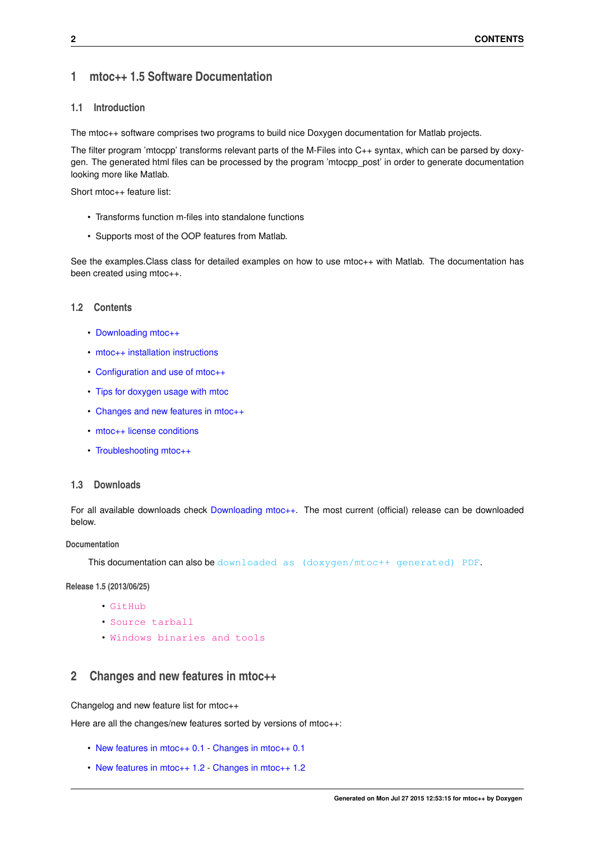# **1 mtoc++ 1.5 Software Documentation**

# <span id="page-4-0"></span>**1.1 Introduction**

The mtoc++ software comprises two programs to build nice Doxygen documentation for Matlab projects.

The filter program 'mtocpp' transforms relevant parts of the M-Files into C++ syntax, which can be parsed by doxygen. The generated html files can be processed by the program 'mtocpp\_post' in order to generate documentation looking more like Matlab.

Short mtoc++ feature list:

- Transforms function m-files into standalone functions
- Supports most of the OOP features from Matlab.

See the examples.Class class for detailed examples on how to use mtoc++ with Matlab. The documentation has been created using mtoc++.

## <span id="page-4-1"></span>**1.2 Contents**

- [Downloading mtoc++](#page-10-4)
- [mtoc++ installation instructions](#page-11-4)
- [Configuration and use of mtoc++](#page-15-3)
- [Tips for doxygen usage with mtoc](#page-14-2)
- [Changes and new features in mtoc++](#page-4-4)
- [mtoc++ license conditions](#page-10-5)
- [Troubleshooting mtoc++](#page-20-6)

## <span id="page-4-2"></span>**1.3 Downloads**

For all available downloads check Downloading mtoc<sub>++</sub>. The most current (official) release can be downloaded below.

#### **Documentation**

This documentation can also be [downloaded as \(doxygen/mtoc++ generated\) PDF](#page-0-0).

**Release 1.5 (2013/06/25)**

- [GitHub](https://github.com/mdrohmann/mtocpp.git)
- [Source tarball](../mtoc++_src_1.5.tar.gz)
- [Windows binaries and tools](../mtoc++_win_1.5.zip)

# <span id="page-4-3"></span>**2 Changes and new features in mtoc++**

<span id="page-4-4"></span>Changelog and new feature list for mtoc++

Here are all the changes/new features sorted by versions of mtoc++:

- [New features in mtoc++ 0.1](#page-6-3) [Changes in mtoc++ 0.1](#page-6-4)
- [New features in mtoc++ 1.2](#page-6-5) [Changes in mtoc++ 1.2](#page-7-3)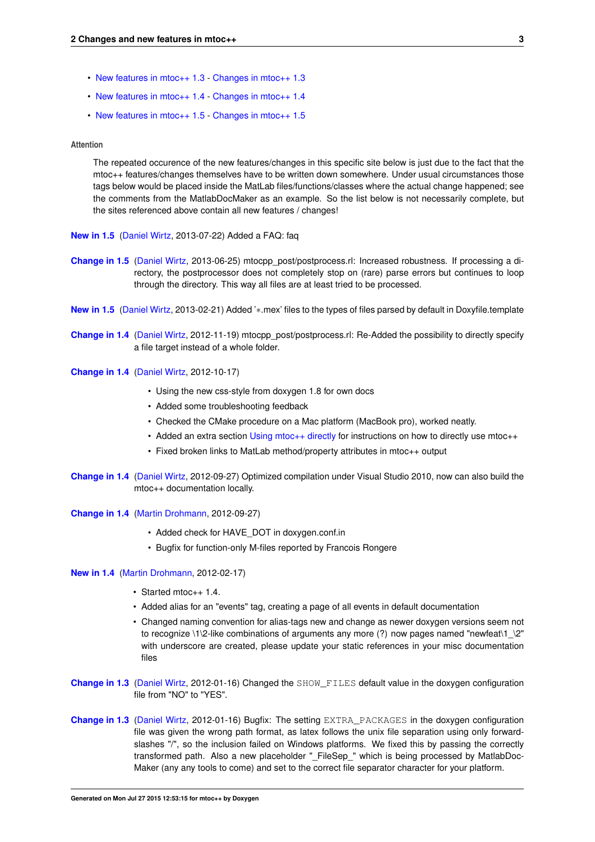- [New features in mtoc++ 1.3](#page-7-4) [Changes in mtoc++ 1.3](#page-7-5)
- [New features in mtoc++ 1.4](#page-8-1) [Changes in mtoc++ 1.4](#page-8-2)
- [New features in mtoc++ 1.5](#page-9-3) [Changes in mtoc++ 1.5](#page-9-4)

#### **Attention**

The repeated occurence of the new features/changes in this specific site below is just due to the fact that the mtoc++ features/changes themselves have to be written down somewhere. Under usual circumstances those tags below would be placed inside the MatLab files/functions/classes where the actual change happened; see the comments from the MatlabDocMaker as an example. So the list below is not necessarily complete, but the sites referenced above contain all new features / changes!

- **[New in 1.5](#page-9-5)** [\(Daniel Wirtz,](#page-21-6) 2013-07-22) Added a FAQ: faq
- **[Change in 1.5](#page-9-6)** [\(Daniel Wirtz,](#page-21-6) 2013-06-25) mtocpp\_post/postprocess.rl: Increased robustness. If processing a directory, the postprocessor does not completely stop on (rare) parse errors but continues to loop through the directory. This way all files are at least tried to be processed.
- **[New in 1.5](#page-0-0)** [\(Daniel Wirtz,](#page-21-6) 2013-02-21) Added '∗.mex' files to the types of files parsed by default in Doxyfile.template
- **[Change in 1.4](#page-9-7)** [\(Daniel Wirtz,](#page-21-6) 2012-11-19) mtocpp\_post/postprocess.rl: Re-Added the possibility to directly specify a file target instead of a whole folder.
- **[Change in 1.4](#page-0-0)** [\(Daniel Wirtz,](#page-21-6) 2012-10-17)
	- Using the new css-style from doxygen 1.8 for own docs
	- Added some troubleshooting feedback
	- Checked the CMake procedure on a Mac platform (MacBook pro), worked neatly.
	- Added an extra section [Using mtoc++ directly](#page-16-2) for instructions on how to directly use mtoc++
	- Fixed broken links to MatLab method/property attributes in mtoc++ output
- **[Change in 1.4](#page-0-0)** [\(Daniel Wirtz,](#page-21-6) 2012-09-27) Optimized compilation under Visual Studio 2010, now can also build the mtoc++ documentation locally.
- **[Change in 1.4](#page-0-0)** [\(Martin Drohmann,](#page-20-5) 2012-09-27)
	- Added check for HAVE\_DOT in doxygen.conf.in
	- Bugfix for function-only M-files reported by Francois Rongere

#### **[New in 1.4](#page-8-3)** [\(Martin Drohmann,](#page-20-5) 2012-02-17)

- Started mtoc++ 1.4.
- Added alias for an "events" tag, creating a page of all events in default documentation
- Changed naming convention for alias-tags new and change as newer doxygen versions seem not to recognize  $\12$ -like combinations of arguments any more (?) now pages named "newfeat\1 \2" with underscore are created, please update your static references in your misc documentation files
- **[Change in 1.3](#page-7-6)** [\(Daniel Wirtz,](#page-21-6) 2012-01-16) Changed the SHOW\_FILES default value in the doxygen configuration file from "NO" to "YES".
- **[Change in 1.3](#page-0-0)** [\(Daniel Wirtz,](#page-21-6) 2012-01-16) Bugfix: The setting EXTRA\_PACKAGES in the doxygen configuration file was given the wrong path format, as latex follows the unix file separation using only forwardslashes "/", so the inclusion failed on Windows platforms. We fixed this by passing the correctly transformed path. Also a new placeholder "\_FileSep\_" which is being processed by MatlabDoc-Maker (any any tools to come) and set to the correct file separator character for your platform.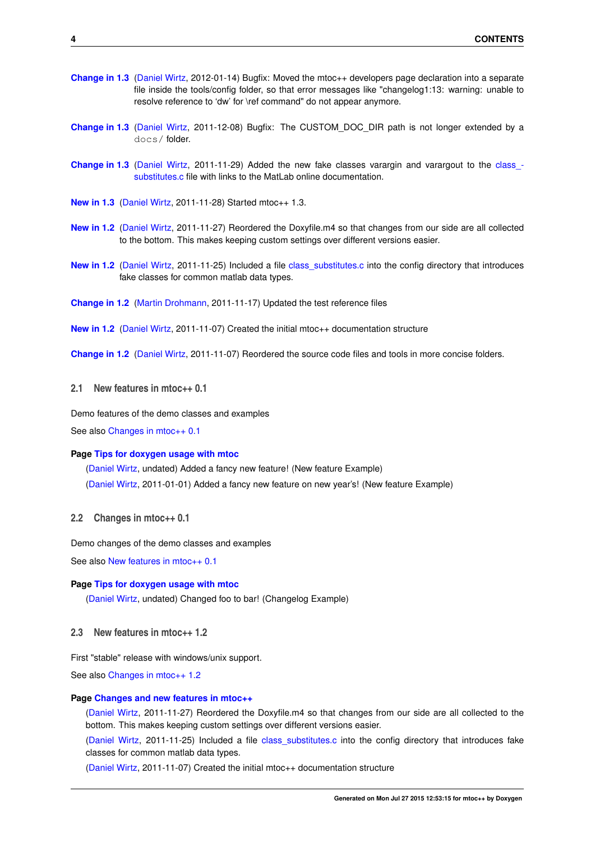- **[Change in 1.3](#page-0-0)** [\(Daniel Wirtz,](#page-21-6) 2012-01-14) Bugfix: Moved the mtoc++ developers page declaration into a separate file inside the tools/config folder, so that error messages like "changelog1:13: warning: unable to resolve reference to 'dw' for \ref command" do not appear anymore.
- **[Change in 1.3](#page-0-0)** [\(Daniel Wirtz,](#page-21-6) 2011-12-08) Bugfix: The CUSTOM\_DOC\_DIR path is not longer extended by a docs/ folder.
- **[Change in 1.3](#page-0-0)** [\(Daniel Wirtz,](#page-21-6) 2011-11-29) Added the new fake classes varargin and varargout to the [class\\_](#page-0-0) [substitutes.c](#page-0-0) file with links to the MatLab online documentation.
- **[New in 1.3](#page-7-7)** [\(Daniel Wirtz,](#page-21-6) 2011-11-28) Started mtoc++ 1.3.
- **[New in 1.2](#page-6-6)** [\(Daniel Wirtz,](#page-21-6) 2011-11-27) Reordered the Doxyfile.m4 so that changes from our side are all collected to the bottom. This makes keeping custom settings over different versions easier.
- **[New in 1.2](#page-0-0)** [\(Daniel Wirtz,](#page-21-6) 2011-11-25) Included a file class substitutes.c into the config directory that introduces fake classes for common matlab data types.
- **[Change in 1.2](#page-7-8)** [\(Martin Drohmann,](#page-20-5) 2011-11-17) Updated the test reference files
- **[New in 1.2](#page-0-0)** [\(Daniel Wirtz,](#page-21-6) 2011-11-07) Created the initial mtoc++ documentation structure
- **[Change in 1.2](#page-0-0)** [\(Daniel Wirtz,](#page-21-6) 2011-11-07) Reordered the source code files and tools in more concise folders.

<span id="page-6-3"></span><span id="page-6-0"></span>**2.1 New features in mtoc++ 0.1**

Demo features of the demo classes and examples

See also [Changes in mtoc++ 0.1](#page-6-4)

#### <span id="page-6-7"></span>**Page [Tips for doxygen usage with mtoc](#page-14-2)**

[\(Daniel Wirtz,](#page-21-6) undated) Added a fancy new feature! (New feature Example) [\(Daniel Wirtz,](#page-21-6) 2011-01-01) Added a fancy new feature on new year's! (New feature Example)

#### <span id="page-6-4"></span><span id="page-6-1"></span>**2.2 Changes in mtoc++ 0.1**

Demo changes of the demo classes and examples

See also [New features in mtoc++ 0.1](#page-6-3)

## <span id="page-6-8"></span>**Page [Tips for doxygen usage with mtoc](#page-14-2)**

[\(Daniel Wirtz,](#page-21-6) undated) Changed foo to bar! (Changelog Example)

## <span id="page-6-5"></span><span id="page-6-2"></span>**2.3 New features in mtoc++ 1.2**

First "stable" release with windows/unix support.

See also [Changes in mtoc++ 1.2](#page-7-3)

#### <span id="page-6-6"></span>**Page [Changes and new features in mtoc++](#page-4-4)**

[\(Daniel Wirtz,](#page-21-6) 2011-11-27) Reordered the Doxyfile.m4 so that changes from our side are all collected to the bottom. This makes keeping custom settings over different versions easier.

[\(Daniel Wirtz,](#page-21-6) 2011-11-25) Included a file [class\\_substitutes.c](#page-0-0) into the config directory that introduces fake classes for common matlab data types.

[\(Daniel Wirtz,](#page-21-6) 2011-11-07) Created the initial mtoc++ documentation structure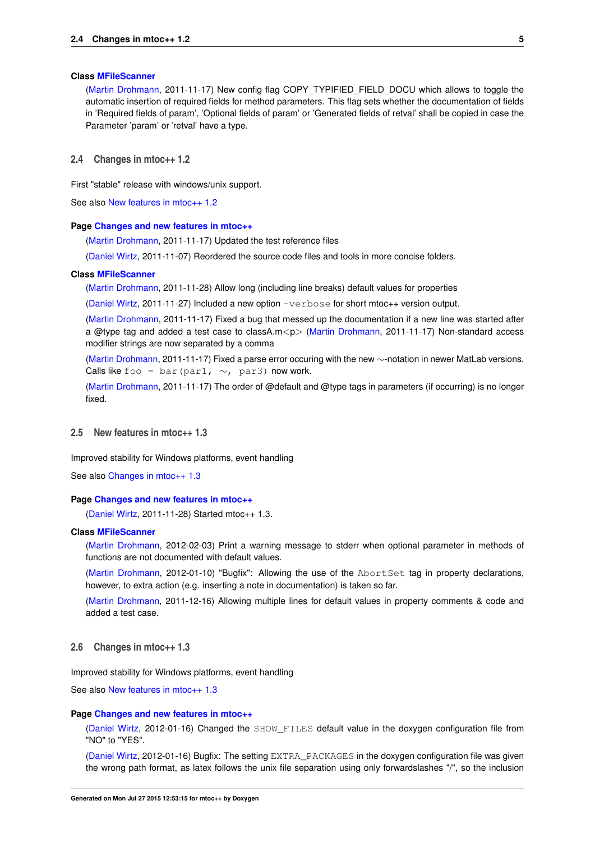#### <span id="page-7-11"></span>**Class [MFileScanner](#page-28-5)**

[\(Martin Drohmann,](#page-20-5) 2011-11-17) New config flag COPY\_TYPIFIED\_FIELD\_DOCU which allows to toggle the automatic insertion of required fields for method parameters. This flag sets whether the documentation of fields in 'Required fields of param', 'Optional fields of param' or 'Generated fields of retval' shall be copied in case the Parameter 'param' or 'retval' have a type.

## <span id="page-7-3"></span><span id="page-7-0"></span>**2.4 Changes in mtoc++ 1.2**

First "stable" release with windows/unix support.

See also [New features in mtoc++ 1.2](#page-6-5)

## <span id="page-7-8"></span>**Page [Changes and new features in mtoc++](#page-4-4)**

[\(Martin Drohmann,](#page-20-5) 2011-11-17) Updated the test reference files

[\(Daniel Wirtz,](#page-21-6) 2011-11-07) Reordered the source code files and tools in more concise folders.

#### <span id="page-7-10"></span>**Class [MFileScanner](#page-28-5)**

[\(Martin Drohmann,](#page-20-5) 2011-11-28) Allow long (including line breaks) default values for properties

[\(Daniel Wirtz,](#page-21-6) 2011-11-27) Included a new option -verbose for short mtoc++ version output.

[\(Martin Drohmann,](#page-20-5) 2011-11-17) Fixed a bug that messed up the documentation if a new line was started after a @type tag and added a test case to classA.m<p> [\(Martin Drohmann,](#page-20-5) 2011-11-17) Non-standard access modifier strings are now separated by a comma

[\(Martin Drohmann,](#page-20-5) 2011-11-17) Fixed a parse error occuring with the new ∼-notation in newer MatLab versions. Calls like foo = bar (par1,  $\sim$ , par3) now work.

[\(Martin Drohmann,](#page-20-5) 2011-11-17) The order of @default and @type tags in parameters (if occurring) is no longer fixed.

# <span id="page-7-4"></span><span id="page-7-1"></span>**2.5 New features in mtoc++ 1.3**

Improved stability for Windows platforms, event handling

See also [Changes in mtoc++ 1.3](#page-7-5)

## <span id="page-7-7"></span>**Page [Changes and new features in mtoc++](#page-4-4)**

[\(Daniel Wirtz,](#page-21-6) 2011-11-28) Started mtoc++ 1.3.

#### <span id="page-7-9"></span>**Class [MFileScanner](#page-28-5)**

[\(Martin Drohmann,](#page-20-5) 2012-02-03) Print a warning message to stderr when optional parameter in methods of functions are not documented with default values.

[\(Martin Drohmann,](#page-20-5) 2012-01-10) "Bugfix": Allowing the use of the AbortSet tag in property declarations, however, to extra action (e.g. inserting a note in documentation) is taken so far.

[\(Martin Drohmann,](#page-20-5) 2011-12-16) Allowing multiple lines for default values in property comments & code and added a test case.

#### <span id="page-7-5"></span><span id="page-7-2"></span>**2.6 Changes in mtoc++ 1.3**

Improved stability for Windows platforms, event handling

See also [New features in mtoc++ 1.3](#page-7-4)

#### <span id="page-7-6"></span>**Page [Changes and new features in mtoc++](#page-4-4)**

[\(Daniel Wirtz,](#page-21-6) 2012-01-16) Changed the SHOW\_FILES default value in the doxygen configuration file from "NO" to "YES".

[\(Daniel Wirtz,](#page-21-6) 2012-01-16) Bugfix: The setting EXTRA\_PACKAGES in the doxygen configuration file was given the wrong path format, as latex follows the unix file separation using only forwardslashes "/", so the inclusion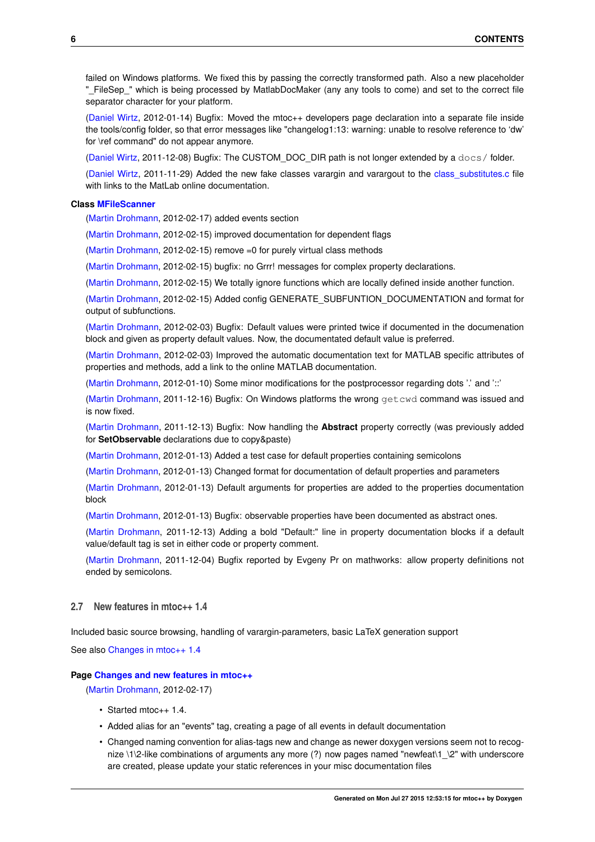failed on Windows platforms. We fixed this by passing the correctly transformed path. Also a new placeholder "\_FileSep\_" which is being processed by MatlabDocMaker (any any tools to come) and set to the correct file separator character for your platform.

[\(Daniel Wirtz,](#page-21-6) 2012-01-14) Bugfix: Moved the mtoc++ developers page declaration into a separate file inside the tools/config folder, so that error messages like "changelog1:13: warning: unable to resolve reference to 'dw' for \ref command" do not appear anymore.

[\(Daniel Wirtz,](#page-21-6) 2011-12-08) Bugfix: The CUSTOM\_DOC\_DIR path is not longer extended by a docs/ folder.

[\(Daniel Wirtz,](#page-21-6) 2011-11-29) Added the new fake classes varargin and varargout to the [class\\_substitutes.c](#page-0-0) file with links to the MatLab online documentation.

#### <span id="page-8-4"></span>**Class [MFileScanner](#page-28-5)**

[\(Martin Drohmann,](#page-20-5) 2012-02-17) added events section

[\(Martin Drohmann,](#page-20-5) 2012-02-15) improved documentation for dependent flags

[\(Martin Drohmann,](#page-20-5) 2012-02-15) remove =0 for purely virtual class methods

[\(Martin Drohmann,](#page-20-5) 2012-02-15) bugfix: no Grrr! messages for complex property declarations.

[\(Martin Drohmann,](#page-20-5) 2012-02-15) We totally ignore functions which are locally defined inside another function.

[\(Martin Drohmann,](#page-20-5) 2012-02-15) Added config GENERATE\_SUBFUNTION\_DOCUMENTATION and format for output of subfunctions.

[\(Martin Drohmann,](#page-20-5) 2012-02-03) Bugfix: Default values were printed twice if documented in the documenation block and given as property default values. Now, the documentated default value is preferred.

[\(Martin Drohmann,](#page-20-5) 2012-02-03) Improved the automatic documentation text for MATLAB specific attributes of properties and methods, add a link to the online MATLAB documentation.

[\(Martin Drohmann,](#page-20-5) 2012-01-10) Some minor modifications for the postprocessor regarding dots '.' and '::'

[\(Martin Drohmann,](#page-20-5) 2011-12-16) Bugfix: On Windows platforms the wrong getcwd command was issued and is now fixed.

[\(Martin Drohmann,](#page-20-5) 2011-12-13) Bugfix: Now handling the **Abstract** property correctly (was previously added for **SetObservable** declarations due to copy&paste)

[\(Martin Drohmann,](#page-20-5) 2012-01-13) Added a test case for default properties containing semicolons

[\(Martin Drohmann,](#page-20-5) 2012-01-13) Changed format for documentation of default properties and parameters

[\(Martin Drohmann,](#page-20-5) 2012-01-13) Default arguments for properties are added to the properties documentation block

[\(Martin Drohmann,](#page-20-5) 2012-01-13) Bugfix: observable properties have been documented as abstract ones.

[\(Martin Drohmann,](#page-20-5) 2011-12-13) Adding a bold "Default:" line in property documentation blocks if a default value/default tag is set in either code or property comment.

[\(Martin Drohmann,](#page-20-5) 2011-12-04) Bugfix reported by Evgeny Pr on mathworks: allow property definitions not ended by semicolons.

## <span id="page-8-1"></span><span id="page-8-0"></span>**2.7 New features in mtoc++ 1.4**

Included basic source browsing, handling of varargin-parameters, basic LaTeX generation support

See also [Changes in mtoc++ 1.4](#page-8-2)

#### <span id="page-8-3"></span>**Page [Changes and new features in mtoc++](#page-4-4)**

[\(Martin Drohmann,](#page-20-5) 2012-02-17)

- Started mtoc++ 1.4.
- Added alias for an "events" tag, creating a page of all events in default documentation
- <span id="page-8-2"></span>• Changed naming convention for alias-tags new and change as newer doxygen versions seem not to recognize  $\1\2$ -like combinations of arguments any more (?) now pages named "newfeat $\1$   $\2$ " with underscore are created, please update your static references in your misc documentation files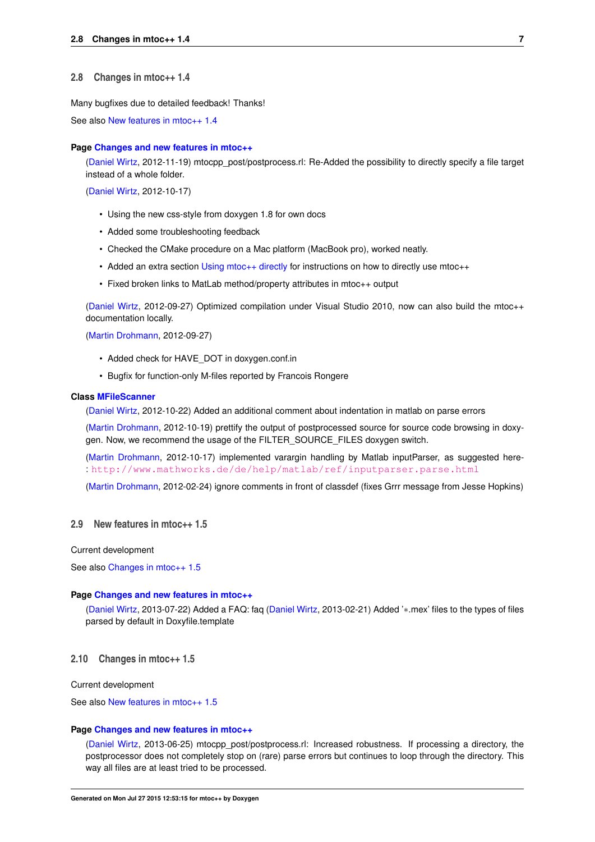#### <span id="page-9-0"></span>**2.8 Changes in mtoc++ 1.4**

Many bugfixes due to detailed feedback! Thanks!

See also [New features in mtoc++ 1.4](#page-8-1)

#### <span id="page-9-7"></span>**Page [Changes and new features in mtoc++](#page-4-4)**

[\(Daniel Wirtz,](#page-21-6) 2012-11-19) mtocpp\_post/postprocess.rl: Re-Added the possibility to directly specify a file target instead of a whole folder.

[\(Daniel Wirtz,](#page-21-6) 2012-10-17)

- Using the new css-style from doxygen 1.8 for own docs
- Added some troubleshooting feedback
- Checked the CMake procedure on a Mac platform (MacBook pro), worked neatly.
- Added an extra section [Using mtoc++ directly](#page-16-2) for instructions on how to directly use mtoc++
- Fixed broken links to MatLab method/property attributes in mtoc++ output

[\(Daniel Wirtz,](#page-21-6) 2012-09-27) Optimized compilation under Visual Studio 2010, now can also build the mtoc++ documentation locally.

[\(Martin Drohmann,](#page-20-5) 2012-09-27)

- Added check for HAVE\_DOT in doxygen.conf.in
- Bugfix for function-only M-files reported by Francois Rongere

#### <span id="page-9-8"></span>**Class [MFileScanner](#page-28-5)**

[\(Daniel Wirtz,](#page-21-6) 2012-10-22) Added an additional comment about indentation in matlab on parse errors

[\(Martin Drohmann,](#page-20-5) 2012-10-19) prettify the output of postprocessed source for source code browsing in doxygen. Now, we recommend the usage of the FILTER\_SOURCE\_FILES doxygen switch.

[\(Martin Drohmann,](#page-20-5) 2012-10-17) implemented varargin handling by Matlab inputParser, as suggested here- : <http://www.mathworks.de/de/help/matlab/ref/inputparser.parse.html>

[\(Martin Drohmann,](#page-20-5) 2012-02-24) ignore comments in front of classdef (fixes Grrr message from Jesse Hopkins)

## <span id="page-9-3"></span><span id="page-9-1"></span>**2.9 New features in mtoc++ 1.5**

Current development

See also [Changes in mtoc++ 1.5](#page-9-4)

## <span id="page-9-5"></span>**Page [Changes and new features in mtoc++](#page-4-4)**

[\(Daniel Wirtz,](#page-21-6) 2013-07-22) Added a FAQ: faq [\(Daniel Wirtz,](#page-21-6) 2013-02-21) Added '∗.mex' files to the types of files parsed by default in Doxyfile.template

#### <span id="page-9-4"></span><span id="page-9-2"></span>**2.10 Changes in mtoc++ 1.5**

Current development

See also [New features in mtoc++ 1.5](#page-9-3)

#### <span id="page-9-6"></span>**Page [Changes and new features in mtoc++](#page-4-4)**

[\(Daniel Wirtz,](#page-21-6) 2013-06-25) mtocpp\_post/postprocess.rl: Increased robustness. If processing a directory, the postprocessor does not completely stop on (rare) parse errors but continues to loop through the directory. This way all files are at least tried to be processed.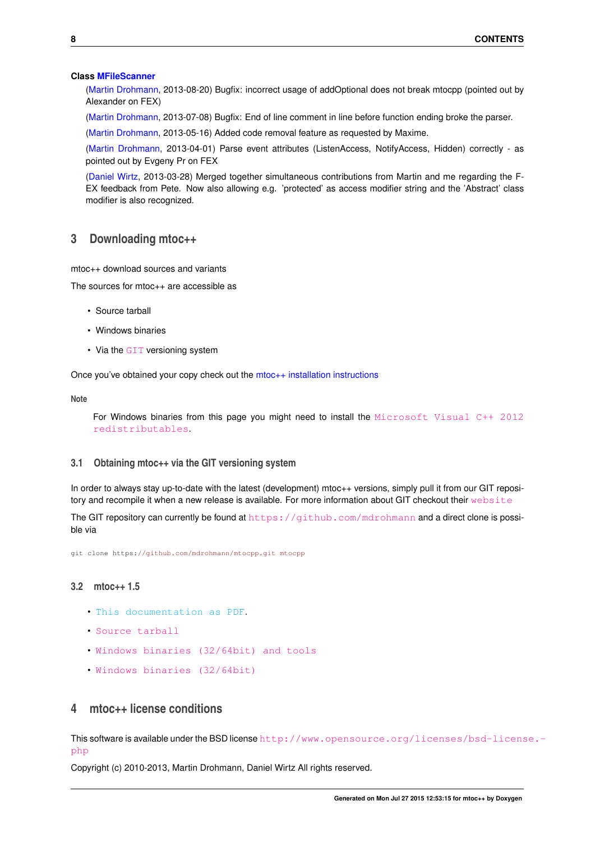#### <span id="page-10-6"></span>**Class [MFileScanner](#page-28-5)**

[\(Martin Drohmann,](#page-20-5) 2013-08-20) Bugfix: incorrect usage of addOptional does not break mtocpp (pointed out by Alexander on FEX)

[\(Martin Drohmann,](#page-20-5) 2013-07-08) Bugfix: End of line comment in line before function ending broke the parser.

[\(Martin Drohmann,](#page-20-5) 2013-05-16) Added code removal feature as requested by Maxime.

[\(Martin Drohmann,](#page-20-5) 2013-04-01) Parse event attributes (ListenAccess, NotifyAccess, Hidden) correctly - as pointed out by Evgeny Pr on FEX

[\(Daniel Wirtz,](#page-21-6) 2013-03-28) Merged together simultaneous contributions from Martin and me regarding the F-EX feedback from Pete. Now also allowing e.g. 'protected' as access modifier string and the 'Abstract' class modifier is also recognized.

# <span id="page-10-0"></span>**3 Downloading mtoc++**

<span id="page-10-4"></span>mtoc++ download sources and variants

The sources for mtoc++ are accessible as

- Source tarball
- Windows binaries
- Via the [GIT](http://git-scm.com/) versioning system

Once you've obtained your copy check out the [mtoc++ installation instructions](#page-11-4)

**Note**

For Windows binaries from this page you might need to install the [Microsoft Visual C++ 2012](https://www.microsoft.com/en-US/download/confirmation.aspx?id=30679) [redistributables](https://www.microsoft.com/en-US/download/confirmation.aspx?id=30679).

## <span id="page-10-1"></span>**3.1 Obtaining mtoc++ via the GIT versioning system**

In order to always stay up-to-date with the latest (development) mtoc++ versions, simply pull it from our GIT repository and recompile it when a new release is available. For more information about GIT checkout their [website](http://git-scm.com/)

The GIT repository can currently be found at <https://github.com/mdrohmann> and a direct clone is possible via

git clone https://github.com/mdrohmann/mtocpp.git mtocpp

## <span id="page-10-2"></span>**3.2 mtoc++ 1.5**

- [This documentation as PDF](#page-0-0).
- [Source tarball](../mtoc++_src_1.5.tar.gz)
- [Windows binaries \(32/64bit\) and tools](../mtoc++_win_1.5.zip)
- [Windows binaries \(32/64bit\)](../mtoc++_win_binaries_1.5.zip)

# <span id="page-10-3"></span>**4 mtoc++ license conditions**

<span id="page-10-5"></span>This software is available under the BSD license [http://www.opensource.org/licenses/bsd-licens](http://www.opensource.org/licenses/bsd-license.php)e.[php](http://www.opensource.org/licenses/bsd-license.php)

Copyright (c) 2010-2013, Martin Drohmann, Daniel Wirtz All rights reserved.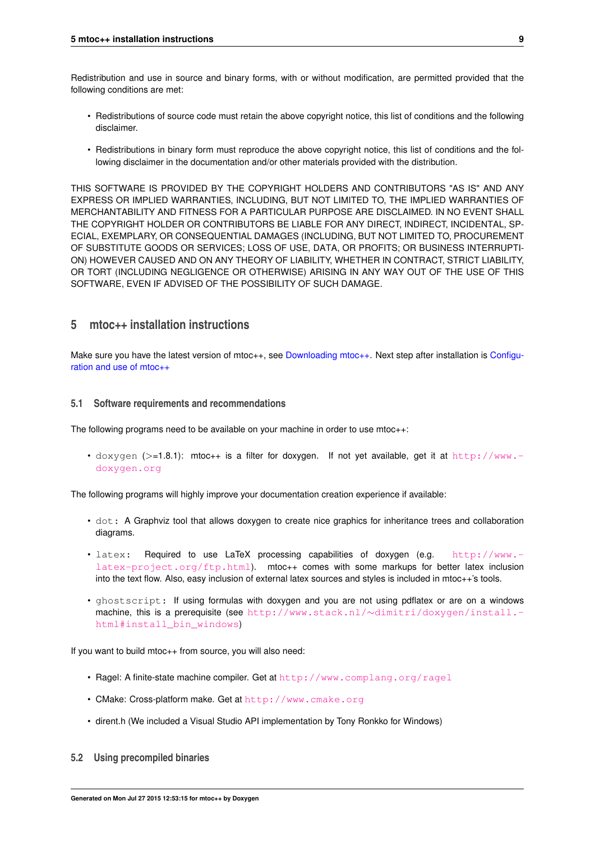Redistribution and use in source and binary forms, with or without modification, are permitted provided that the following conditions are met:

- Redistributions of source code must retain the above copyright notice, this list of conditions and the following disclaimer.
- Redistributions in binary form must reproduce the above copyright notice, this list of conditions and the following disclaimer in the documentation and/or other materials provided with the distribution.

THIS SOFTWARE IS PROVIDED BY THE COPYRIGHT HOLDERS AND CONTRIBUTORS "AS IS" AND ANY EXPRESS OR IMPLIED WARRANTIES, INCLUDING, BUT NOT LIMITED TO, THE IMPLIED WARRANTIES OF MERCHANTABILITY AND FITNESS FOR A PARTICULAR PURPOSE ARE DISCLAIMED. IN NO EVENT SHALL THE COPYRIGHT HOLDER OR CONTRIBUTORS BE LIABLE FOR ANY DIRECT, INDIRECT, INCIDENTAL, SP-ECIAL, EXEMPLARY, OR CONSEQUENTIAL DAMAGES (INCLUDING, BUT NOT LIMITED TO, PROCUREMENT OF SUBSTITUTE GOODS OR SERVICES; LOSS OF USE, DATA, OR PROFITS; OR BUSINESS INTERRUPTI-ON) HOWEVER CAUSED AND ON ANY THEORY OF LIABILITY, WHETHER IN CONTRACT, STRICT LIABILITY, OR TORT (INCLUDING NEGLIGENCE OR OTHERWISE) ARISING IN ANY WAY OUT OF THE USE OF THIS SOFTWARE, EVEN IF ADVISED OF THE POSSIBILITY OF SUCH DAMAGE.

# <span id="page-11-0"></span>**5 mtoc++ installation instructions**

<span id="page-11-5"></span><span id="page-11-4"></span>Make sure you have the latest version of mtoc++, see [Downloading mtoc++.](#page-10-4) Next step after installation is [Configu](#page-15-3)[ration and use of mtoc++](#page-15-3)

## <span id="page-11-1"></span>**5.1 Software requirements and recommendations**

The following programs need to be available on your machine in order to use mtoc++:

• doxygen (>=1.8.1): mtoc++ is a filter for doxygen. If not yet available, get it at [http://www.](http://www.doxygen.org) [doxygen.org](http://www.doxygen.org)

The following programs will highly improve your documentation creation experience if available:

- dot: A Graphviz tool that allows doxygen to create nice graphics for inheritance trees and collaboration diagrams.
- latex: Required to use LaTeX processing capabilities of doxygen (e.g. [http://www.](http://www.latex-project.org/ftp.html) [latex-project.org/ftp.html](http://www.latex-project.org/ftp.html)). mtoc++ comes with some markups for better latex inclusion into the text flow. Also, easy inclusion of external latex sources and styles is included in mtoc++'s tools.
- ghostscript: If using formulas with doxygen and you are not using pdflatex or are on a windows machine, this is a prerequisite (see http://www.stack.nl/∼[dimitri/doxygen/install.](http://www.stack.nl/~dimitri/doxygen/install.html#install_bin_windows) [html#install\\_bin\\_windows](http://www.stack.nl/~dimitri/doxygen/install.html#install_bin_windows))

If you want to build mtoc++ from source, you will also need:

- Ragel: A finite-state machine compiler. Get at <http://www.complang.org/ragel>
- CMake: Cross-platform make. Get at <http://www.cmake.org>
- dirent.h (We included a Visual Studio API implementation by Tony Ronkko for Windows)

## <span id="page-11-3"></span><span id="page-11-2"></span>**5.2 Using precompiled binaries**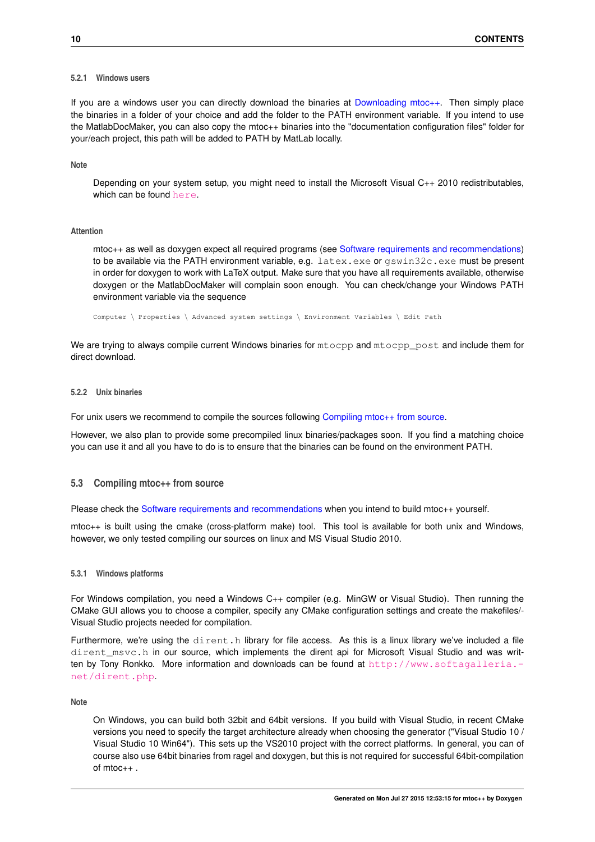## **5.2.1 Windows users**

If you are a windows user you can directly download the binaries at [Downloading mtoc++.](#page-10-4) Then simply place the binaries in a folder of your choice and add the folder to the PATH environment variable. If you intend to use the MatlabDocMaker, you can also copy the mtoc++ binaries into the "documentation configuration files" folder for your/each project, this path will be added to PATH by MatLab locally.

## **Note**

Depending on your system setup, you might need to install the Microsoft Visual C++ 2010 redistributables, which can be found [here](http://www.microsoft.com/download/en/confirmation.aspx?id=8328).

## **Attention**

mtoc++ as well as doxygen expect all required programs (see [Software requirements and recommendations\)](#page-11-5) to be available via the PATH environment variable, e.g.  $l$  atex.exe or  $aswin32c$ .exe must be present in order for doxygen to work with LaTeX output. Make sure that you have all requirements available, otherwise doxygen or the MatlabDocMaker will complain soon enough. You can check/change your Windows PATH environment variable via the sequence

Computer \ Properties \ Advanced system settings \ Environment Variables \ Edit Path

We are trying to always compile current Windows binaries for mtocpp and mtocpp post and include them for direct download.

## <span id="page-12-0"></span>**5.2.2 Unix binaries**

For unix users we recommend to compile the sources following [Compiling mtoc++ from source.](#page-12-3)

<span id="page-12-3"></span>However, we also plan to provide some precompiled linux binaries/packages soon. If you find a matching choice you can use it and all you have to do is to ensure that the binaries can be found on the environment PATH.

## <span id="page-12-1"></span>**5.3 Compiling mtoc++ from source**

Please check the [Software requirements and recommendations](#page-11-5) when you intend to build mtoc++ yourself.

mtoc++ is built using the cmake (cross-platform make) tool. This tool is available for both unix and Windows, however, we only tested compiling our sources on linux and MS Visual Studio 2010.

## <span id="page-12-2"></span>**5.3.1 Windows platforms**

For Windows compilation, you need a Windows C++ compiler (e.g. MinGW or Visual Studio). Then running the CMake GUI allows you to choose a compiler, specify any CMake configuration settings and create the makefiles/- Visual Studio projects needed for compilation.

Furthermore, we're using the dirent.h library for file access. As this is a linux library we've included a file dirent\_msvc.h in our source, which implements the dirent api for Microsoft Visual Studio and was written by Tony Ronkko. More information and downloads can be found at [http://www.softagalleria.](http://www.softagalleria.net/dirent.php) [net/dirent.php](http://www.softagalleria.net/dirent.php).

## **Note**

On Windows, you can build both 32bit and 64bit versions. If you build with Visual Studio, in recent CMake versions you need to specify the target architecture already when choosing the generator ("Visual Studio 10 / Visual Studio 10 Win64"). This sets up the VS2010 project with the correct platforms. In general, you can of course also use 64bit binaries from ragel and doxygen, but this is not required for successful 64bit-compilation of mtoc++ .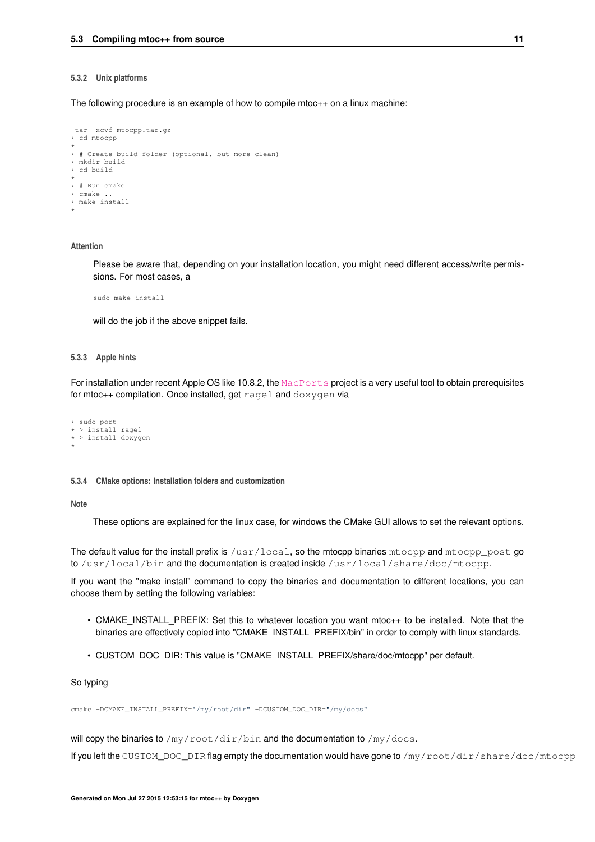#### <span id="page-13-0"></span>**5.3.2 Unix platforms**

The following procedure is an example of how to compile mtoc++ on a linux machine:

```
tar -xcvf mtocpp.tar.gz
* cd mtocpp
*
 * # Create build folder (optional, but more clean)
 mkdir build
* cd build
*
* # Run cmake
 * cmake ..
 make install
*
```
#### **Attention**

Please be aware that, depending on your installation location, you might need different access/write permissions. For most cases, a

sudo make install

will do the job if the above snippet fails.

#### <span id="page-13-1"></span>**5.3.3 Apple hints**

For installation under recent Apple OS like 10.8.2, the [MacPorts](http://www.macports.org/) project is a very useful tool to obtain prerequisites for mtoc++ compilation. Once installed, get ragel and doxygen via

\* sudo port > install ragel \* > install doxygen \*

#### <span id="page-13-2"></span>**5.3.4 CMake options: Installation folders and customization**

**Note**

These options are explained for the linux case, for windows the CMake GUI allows to set the relevant options.

The default value for the install prefix is /usr/local, so the mtocpp binaries mtocpp and mtocpp\_post go to /usr/local/bin and the documentation is created inside /usr/local/share/doc/mtocpp.

If you want the "make install" command to copy the binaries and documentation to different locations, you can choose them by setting the following variables:

- CMAKE\_INSTALL\_PREFIX: Set this to whatever location you want mtoc++ to be installed. Note that the binaries are effectively copied into "CMAKE\_INSTALL\_PREFIX/bin" in order to comply with linux standards.
- CUSTOM\_DOC\_DIR: This value is "CMAKE\_INSTALL\_PREFIX/share/doc/mtocpp" per default.

So typing

cmake -DCMAKE\_INSTALL\_PREFIX="/my/root/dir" -DCUSTOM\_DOC\_DIR="/my/docs"

will copy the binaries to  $/my/root/dir/bin$  and the documentation to  $/my/does$ .

If you left the CUSTOM\_DOC\_DIR flag empty the documentation would have gone to /my/root/dir/share/doc/mtocpp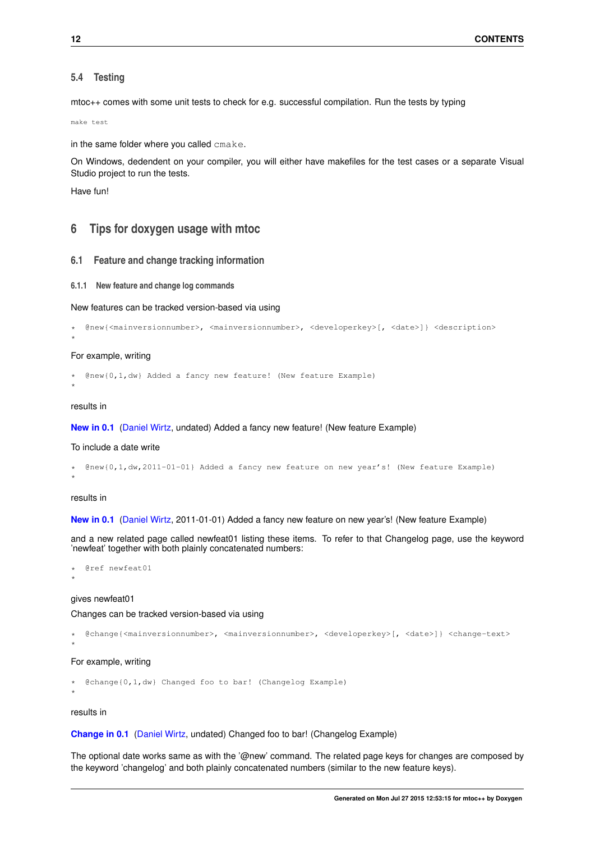## <span id="page-14-0"></span>**5.4 Testing**

mtoc++ comes with some unit tests to check for e.g. successful compilation. Run the tests by typing

make test

in the same folder where you called cmake.

On Windows, dedendent on your compiler, you will either have makefiles for the test cases or a separate Visual Studio project to run the tests.

Have fun!

## <span id="page-14-1"></span>**6 Tips for doxygen usage with mtoc**

#### <span id="page-14-2"></span>**6.1 Feature and change tracking information**

<span id="page-14-3"></span>**6.1.1 New feature and change log commands**

New features can be tracked version-based via using

```
@new{<mainversionnumber>, <mainversionnumber>, <developerkey>[, <date>]} <description>
```
#### For example, writing

@new{0,1,dw} Added a fancy new feature! (New feature Example)

results in

\*

\*

\*

#### **[New in 0.1](#page-6-7)** [\(Daniel Wirtz,](#page-21-6) undated) Added a fancy new feature! (New feature Example)

#### To include a date write

```
@new{0,1,dw,2011-01-01} Added a fancy new feature on new year's! (New feature Example)
```
results in

**[New in 0.1](#page-0-0)** [\(Daniel Wirtz,](#page-21-6) 2011-01-01) Added a fancy new feature on new year's! (New feature Example)

and a new related page called newfeat01 listing these items. To refer to that Changelog page, use the keyword 'newfeat' together with both plainly concatenated numbers:

\* @ref newfeat01 \*

#### gives newfeat01

Changes can be tracked version-based via using

```
@change{<mainversionnumber>, <mainversionnumber>, <developerkey>[, <date>]} <change-text>
```
For example, writing

```
@change{0,1,dw} Changed foo to bar! (Changelog Example)
*
```
results in

\*

#### **[Change in 0.1](#page-6-8)** [\(Daniel Wirtz,](#page-21-6) undated) Changed foo to bar! (Changelog Example)

The optional date works same as with the '@new' command. The related page keys for changes are composed by the keyword 'changelog' and both plainly concatenated numbers (similar to the new feature keys).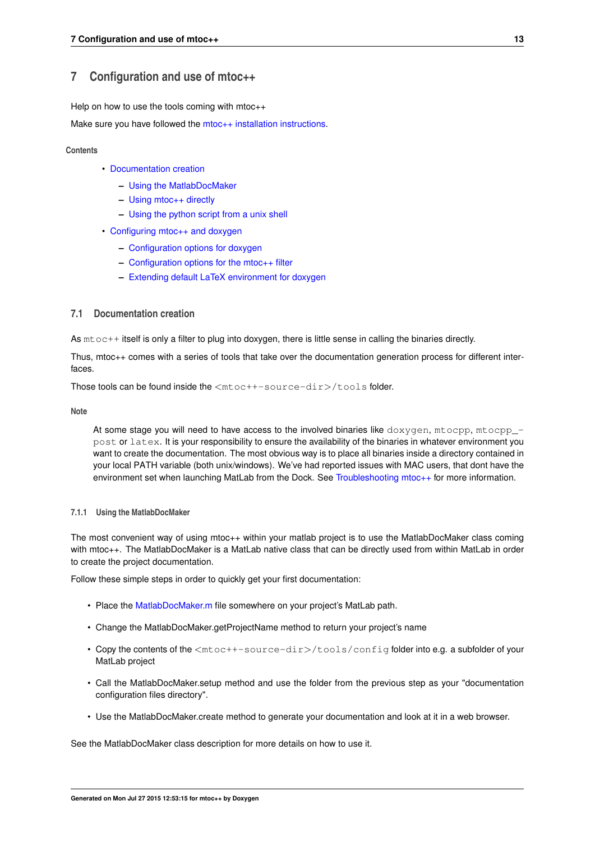# <span id="page-15-0"></span>**7 Configuration and use of mtoc++**

<span id="page-15-3"></span>Help on how to use the tools coming with mtoc++

Make sure you have followed the [mtoc++ installation instructions.](#page-11-4)

#### **Contents**

- [Documentation creation](#page-15-4)
	- **–** [Using the MatlabDocMaker](#page-15-5)
	- **–** [Using mtoc++ directly](#page-16-2)
	- **–** [Using the python script from a unix shell](#page-16-3)
- [Configuring mtoc++ and doxygen](#page-16-4)
	- **–** [Configuration options for doxygen](#page-17-3)
	- **–** [Configuration options for the mtoc++ filter](#page-17-4)
	- **–** [Extending default LaTeX environment for doxygen](#page-19-2)

## <span id="page-15-4"></span><span id="page-15-1"></span>**7.1 Documentation creation**

As mtoc++ itself is only a filter to plug into doxygen, there is little sense in calling the binaries directly.

Thus, mtoc++ comes with a series of tools that take over the documentation generation process for different interfaces.

Those tools can be found inside the  $<$ mtoc++-source-dir>/tools folder.

## **Note**

At some stage you will need to have access to the involved binaries like doxygen, mtocpp, mtocpp\_post or latex. It is your responsibility to ensure the availability of the binaries in whatever environment you want to create the documentation. The most obvious way is to place all binaries inside a directory contained in your local PATH variable (both unix/windows). We've had reported issues with MAC users, that dont have the environment set when launching MatLab from the Dock. See Troubleshooting mtoc<sub>++</sub> for more information.

## <span id="page-15-5"></span><span id="page-15-2"></span>**7.1.1 Using the MatlabDocMaker**

The most convenient way of using mtoc++ within your matlab project is to use the MatlabDocMaker class coming with mtoc++. The MatlabDocMaker is a MatLab native class that can be directly used from within MatLab in order to create the project documentation.

Follow these simple steps in order to quickly get your first documentation:

- Place the [MatlabDocMaker.m](#page-0-0) file somewhere on your project's MatLab path.
- Change the MatlabDocMaker.getProjectName method to return your project's name
- Copy the contents of the <mtoc++-source-dir>/tools/config folder into e.g. a subfolder of your MatLab project
- Call the MatlabDocMaker.setup method and use the folder from the previous step as your "documentation configuration files directory".
- Use the MatlabDocMaker.create method to generate your documentation and look at it in a web browser.

See the MatlabDocMaker class description for more details on how to use it.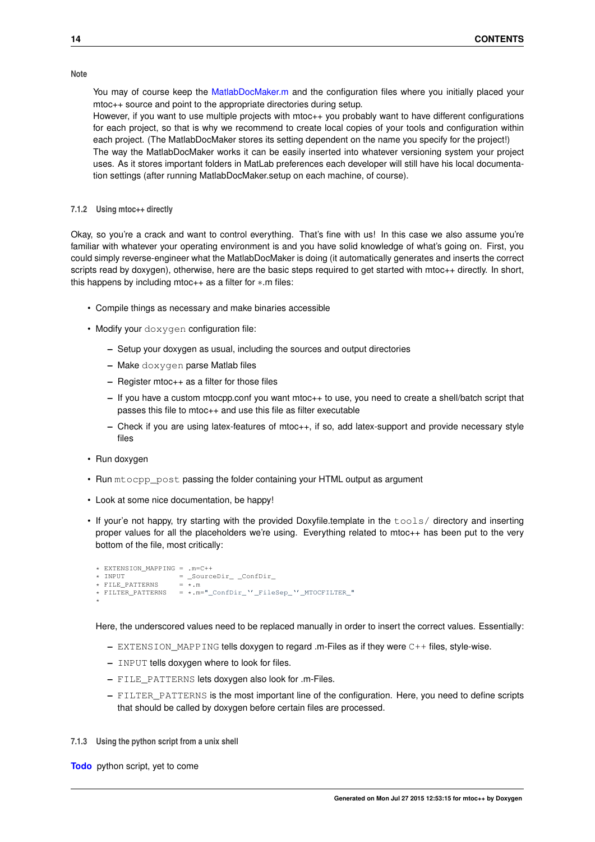#### **Note**

You may of course keep the [MatlabDocMaker.m](#page-0-0) and the configuration files where you initially placed your mtoc++ source and point to the appropriate directories during setup.

However, if you want to use multiple projects with mtoc++ you probably want to have different configurations for each project, so that is why we recommend to create local copies of your tools and configuration within each project. (The MatlabDocMaker stores its setting dependent on the name you specify for the project!) The way the MatlabDocMaker works it can be easily inserted into whatever versioning system your project uses. As it stores important folders in MatLab preferences each developer will still have his local documentation settings (after running MatlabDocMaker.setup on each machine, of course).

#### <span id="page-16-2"></span><span id="page-16-0"></span>**7.1.2 Using mtoc++ directly**

Okay, so you're a crack and want to control everything. That's fine with us! In this case we also assume you're familiar with whatever your operating environment is and you have solid knowledge of what's going on. First, you could simply reverse-engineer what the MatlabDocMaker is doing (it automatically generates and inserts the correct scripts read by doxygen), otherwise, here are the basic steps required to get started with mtoc++ directly. In short, this happens by including mtoc++ as a filter for ∗.m files:

- Compile things as necessary and make binaries accessible
- Modify your doxygen configuration file:
	- **–** Setup your doxygen as usual, including the sources and output directories
	- **–** Make doxygen parse Matlab files
	- **–** Register mtoc++ as a filter for those files
	- **–** If you have a custom mtocpp.conf you want mtoc++ to use, you need to create a shell/batch script that passes this file to mtoc++ and use this file as filter executable
	- **–** Check if you are using latex-features of mtoc++, if so, add latex-support and provide necessary style files
- Run doxvaen
- Run mtocpp\_post passing the folder containing your HTML output as argument
- Look at some nice documentation, be happy!
- If your'e not happy, try starting with the provided Doxyfile.template in the tools/ directory and inserting proper values for all the placeholders we're using. Everything related to mtoc++ has been put to the very bottom of the file, most critically:

```
* EXTENSION_MAPPING = .m=C++
                         = \text{\_SourceDir}\_ \text{\_ConfDir}\_<br>= \star.m
* FILE PATTERNS
* FILTER_PATTERNS = *.m="_ConfDir_''_FileSep_''_MTOCFILTER_"
*
```
Here, the underscored values need to be replaced manually in order to insert the correct values. Essentially:

- **–** EXTENSION\_MAPPING tells doxygen to regard .m-Files as if they were C++ files, style-wise.
- **–** INPUT tells doxygen where to look for files.
- **–** FILE\_PATTERNS lets doxygen also look for .m-Files.
- **–** FILTER\_PATTERNS is the most important line of the configuration. Here, you need to define scripts that should be called by doxygen before certain files are processed.
- <span id="page-16-3"></span><span id="page-16-1"></span>**7.1.3 Using the python script from a unix shell**

<span id="page-16-4"></span>**[Todo](#page-21-7)** python script, yet to come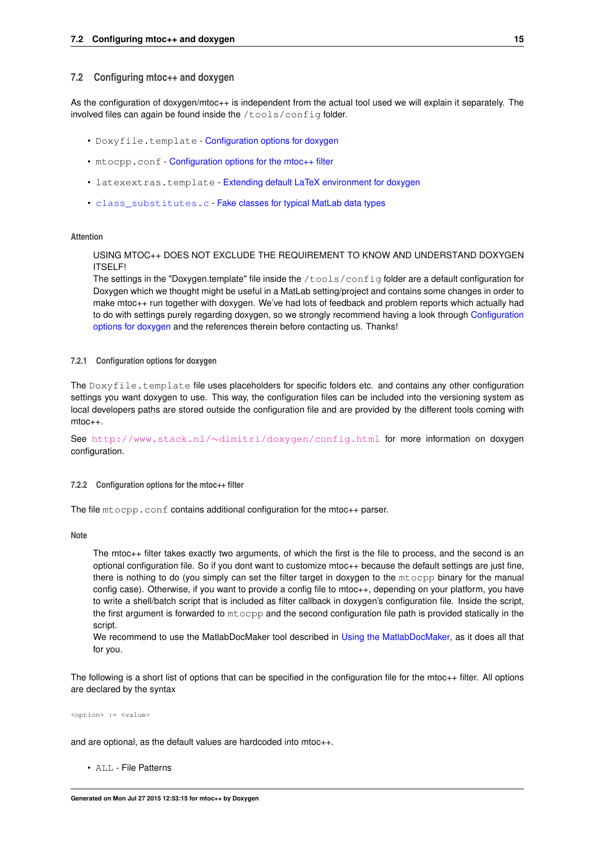#### <span id="page-17-0"></span>**7.2 Configuring mtoc++ and doxygen**

As the configuration of doxygen/mtoc++ is independent from the actual tool used we will explain it separately. The involved files can again be found inside the /tools/config folder.

- Doxyfile.template [Configuration options for doxygen](#page-17-3)
- mtocpp.conf [Configuration options for the mtoc++ filter](#page-17-4)
- latexextras.template [Extending default LaTeX environment for doxygen](#page-19-2)
- [class\\_substitutes.c](#page-0-0) [Fake classes for typical MatLab data types](#page-19-3)

## **Attention**

USING MTOC++ DOES NOT EXCLUDE THE REQUIREMENT TO KNOW AND UNDERSTAND DOXYGEN ITSELF!

The settings in the "Doxygen.template" file inside the /tools/config folder are a default configuration for Doxygen which we thought might be useful in a MatLab setting/project and contains some changes in order to make mtoc++ run together with doxygen. We've had lots of feedback and problem reports which actually had to do with settings purely regarding doxygen, so we strongly recommend having a look through [Configuration](#page-17-3) [options for doxygen](#page-17-3) and the references therein before contacting us. Thanks!

#### <span id="page-17-3"></span><span id="page-17-1"></span>**7.2.1 Configuration options for doxygen**

The Doxyfile.template file uses placeholders for specific folders etc. and contains any other configuration settings you want doxygen to use. This way, the configuration files can be included into the versioning system as local developers paths are stored outside the configuration file and are provided by the different tools coming with mtoc++.

<span id="page-17-4"></span>See http://www.stack.nl/∼[dimitri/doxygen/config.html](http://www.stack.nl/~dimitri/doxygen/config.html) for more information on doxygen configuration.

#### <span id="page-17-2"></span>**7.2.2 Configuration options for the mtoc++ filter**

The file mtocpp.conf contains additional configuration for the mtoc++ parser.

**Note**

The mtoc++ filter takes exactly two arguments, of which the first is the file to process, and the second is an optional configuration file. So if you dont want to customize mtoc++ because the default settings are just fine, there is nothing to do (you simply can set the filter target in doxygen to the mtocpp binary for the manual config case). Otherwise, if you want to provide a config file to mtoc++, depending on your platform, you have to write a shell/batch script that is included as filter callback in doxygen's configuration file. Inside the script, the first argument is forwarded to mtocpp and the second configuration file path is provided statically in the script.

We recommend to use the MatlabDocMaker tool described in [Using the MatlabDocMaker,](#page-15-5) as it does all that for you.

The following is a short list of options that can be specified in the configuration file for the mtoc++ filter. All options are declared by the syntax

<option> := <value>

and are optional, as the default values are hardcoded into mtoc++.

• ALL - File Patterns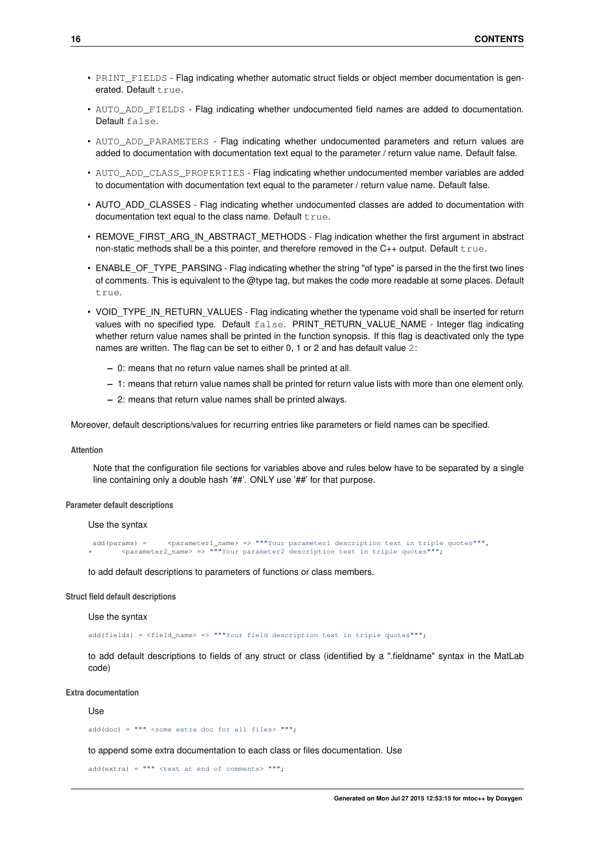- PRINT\_FIELDS Flag indicating whether automatic struct fields or object member documentation is generated. Default true.
- AUTO ADD FIELDS Flag indicating whether undocumented field names are added to documentation. Default false.
- AUTO\_ADD\_PARAMETERS Flag indicating whether undocumented parameters and return values are added to documentation with documentation text equal to the parameter / return value name. Default false.
- AUTO\_ADD\_CLASS\_PROPERTIES Flag indicating whether undocumented member variables are added to documentation with documentation text equal to the parameter / return value name. Default false.
- AUTO ADD CLASSES Flag indicating whether undocumented classes are added to documentation with documentation text equal to the class name. Default  $true$ .
- REMOVE\_FIRST\_ARG\_IN\_ABSTRACT\_METHODS Flag indication whether the first argument in abstract non-static methods shall be a this pointer, and therefore removed in the C++ output. Default true.
- ENABLE\_OF\_TYPE\_PARSING Flag indicating whether the string "of type" is parsed in the the first two lines of comments. This is equivalent to the @type tag, but makes the code more readable at some places. Default  $t$ rue
- VOID\_TYPE\_IN\_RETURN\_VALUES Flag indicating whether the typename void shall be inserted for return values with no specified type. Default false. PRINT\_RETURN\_VALUE\_NAME - Integer flag indicating whether return value names shall be printed in the function synopsis. If this flag is deactivated only the type names are written. The flag can be set to either 0, 1 or 2 and has default value 2:
	- **–** 0: means that no return value names shall be printed at all.
	- **–** 1: means that return value names shall be printed for return value lists with more than one element only.
	- **–** 2: means that return value names shall be printed always.

Moreover, default descriptions/values for recurring entries like parameters or field names can be specified.

#### **Attention**

Note that the configuration file sections for variables above and rules below have to be separated by a single line containing only a double hash '##'. ONLY use '##' for that purpose.

#### **Parameter default descriptions**

#### Use the syntax

add(params) = <parameter1\_name> => """Your parameter1 description text in triple quotes""", \* <parameter2\_name> => """Your parameter2 description text in triple quotes""";

to add default descriptions to parameters of functions or class members.

#### **Struct field default descriptions**

#### Use the syntax

add(fields) =  $\langle$ field name> => """Your field description text in triple quotes""";

to add default descriptions to fields of any struct or class (identified by a ".fieldname" syntax in the MatLab code)

#### **Extra documentation**

#### Use

 $add(doc) = """$  <some extra doc for all files> """;

to append some extra documentation to each class or files documentation. Use

```
add(extra) = """" <i>text at end of comments</i> """";
```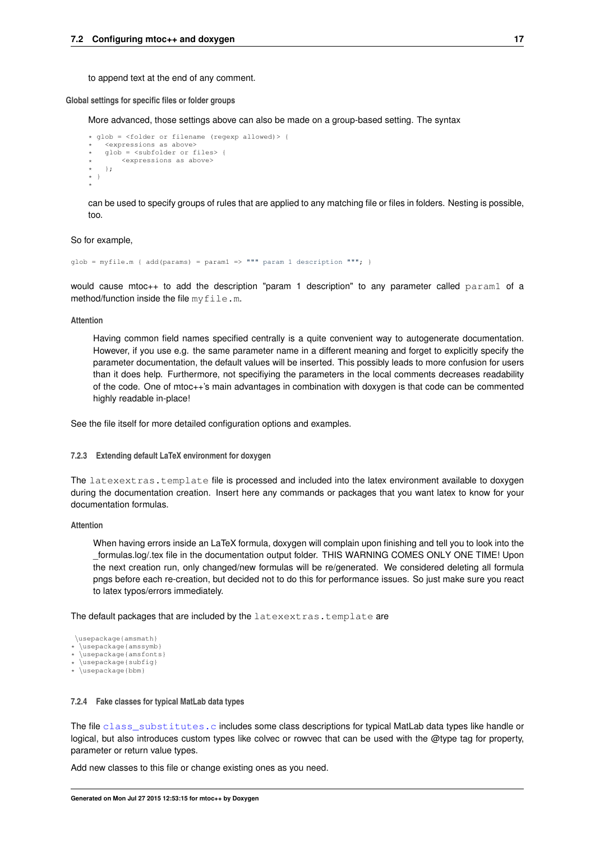to append text at the end of any comment.

**Global settings for specific files or folder groups**

More advanced, those settings above can also be made on a group-based setting. The syntax

```
* glob = <folder or filename (regexp allowed)> {
     * <expressions as above>
    alob = \langle \text{subfolder} \text{ or files} \rangle {
          * <expressions as above>
    * };
* }
*
```
can be used to specify groups of rules that are applied to any matching file or files in folders. Nesting is possible, too.

## So for example,

 $glob = myfile.m \{ add(params) = param1 \Rightarrow """param 1 description """; }$ 

would cause mtoc++ to add the description "param 1 description" to any parameter called param1 of a method/function inside the file myfile.m.

#### **Attention**

<span id="page-19-2"></span>Having common field names specified centrally is a quite convenient way to autogenerate documentation. However, if you use e.g. the same parameter name in a different meaning and forget to explicitly specify the parameter documentation, the default values will be inserted. This possibly leads to more confusion for users than it does help. Furthermore, not specifiying the parameters in the local comments decreases readability of the code. One of mtoc++'s main advantages in combination with doxygen is that code can be commented highly readable in-place!

See the file itself for more detailed configuration options and examples.

#### <span id="page-19-0"></span>**7.2.3 Extending default LaTeX environment for doxygen**

The latexextras.template file is processed and included into the latex environment available to doxygen during the documentation creation. Insert here any commands or packages that you want latex to know for your documentation formulas.

#### **Attention**

When having errors inside an LaTeX formula, doxygen will complain upon finishing and tell you to look into the \_formulas.log/.tex file in the documentation output folder. THIS WARNING COMES ONLY ONE TIME! Upon the next creation run, only changed/new formulas will be re/generated. We considered deleting all formula pngs before each re-creation, but decided not to do this for performance issues. So just make sure you react to latex typos/errors immediately.

The default packages that are included by the latexextras.template are

```
\usepackage{amsmath}
```

```
* \usepackage{amssymb}
```

```
\usepackage{amsfonts}
\usepackage{subfig}
```

```
* \usepackage{bbm}
```
#### <span id="page-19-3"></span><span id="page-19-1"></span>**7.2.4 Fake classes for typical MatLab data types**

The file [class\\_substitutes.c](#page-0-0) includes some class descriptions for typical MatLab data types like handle or logical, but also introduces custom types like colvec or rowvec that can be used with the @type tag for property, parameter or return value types.

Add new classes to this file or change existing ones as you need.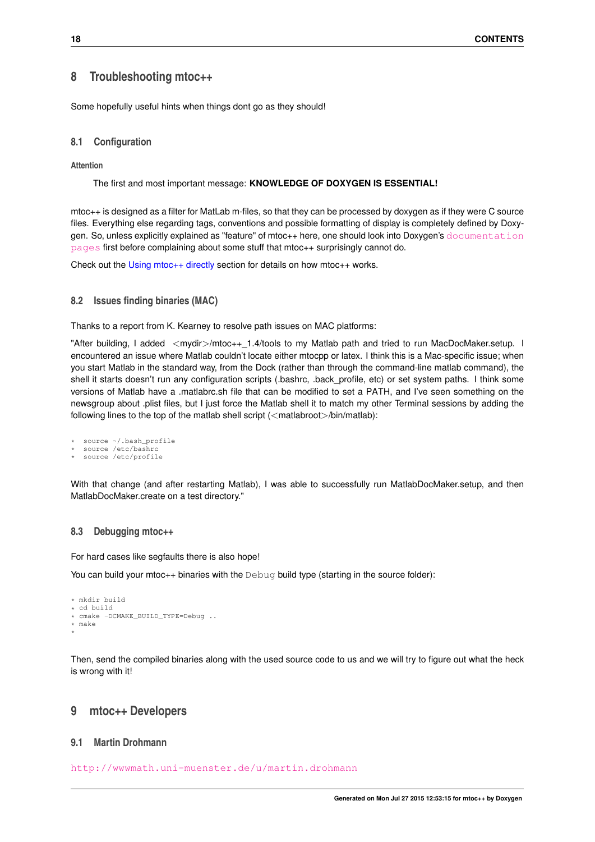# <span id="page-20-0"></span>**8 Troubleshooting mtoc++**

<span id="page-20-6"></span>Some hopefully useful hints when things dont go as they should!

## <span id="page-20-1"></span>**8.1 Configuration**

**Attention**

The first and most important message: **KNOWLEDGE OF DOXYGEN IS ESSENTIAL!**

mtoc++ is designed as a filter for MatLab m-files, so that they can be processed by doxygen as if they were C source files. Everything else regarding tags, conventions and possible formatting of display is completely defined by Doxygen. So, unless explicitly explained as "feature" of mtoc++ here, one should look into Doxygen's [documentation](http://www.stack.nl/~dimitri/doxygen/manual.html) [pages](http://www.stack.nl/~dimitri/doxygen/manual.html) first before complaining about some stuff that mtoc++ surprisingly cannot do.

Check out the [Using mtoc++ directly](#page-16-2) section for details on how mtoc++ works.

## <span id="page-20-2"></span>**8.2 Issues finding binaries (MAC)**

Thanks to a report from K. Kearney to resolve path issues on MAC platforms:

"After building, I added <mydir>/mtoc++\_1.4/tools to my Matlab path and tried to run MacDocMaker.setup. I encountered an issue where Matlab couldn't locate either mtocpp or latex. I think this is a Mac-specific issue; when you start Matlab in the standard way, from the Dock (rather than through the command-line matlab command), the shell it starts doesn't run any configuration scripts (.bashrc, .back\_profile, etc) or set system paths. I think some versions of Matlab have a .matlabrc.sh file that can be modified to set a PATH, and I've seen something on the newsgroup about .plist files, but I just force the Matlab shell it to match my other Terminal sessions by adding the following lines to the top of the matlab shell script  $\langle$   $\langle$  matlabroot $\rangle$ /bin/matlab):

```
source ~/.bash_profile
```

```
source /etc/bashrc
```
source /etc/profile

With that change (and after restarting Matlab), I was able to successfully run MatlabDocMaker.setup, and then MatlabDocMaker.create on a test directory."

## <span id="page-20-3"></span>**8.3 Debugging mtoc++**

For hard cases like segfaults there is also hope!

You can build your mtoc++ binaries with the Debug build type (starting in the source folder):

```
* mkdir build
* cd build
* cmake -DCMAKE_BUILD_TYPE=Debug ..
* make
*
```
Then, send the compiled binaries along with the used source code to us and we will try to figure out what the heck is wrong with it!

# <span id="page-20-4"></span>**9 mtoc++ Developers**

## <span id="page-20-5"></span>**9.1 Martin Drohmann**

<http://wwwmath.uni-muenster.de/u/martin.drohmann>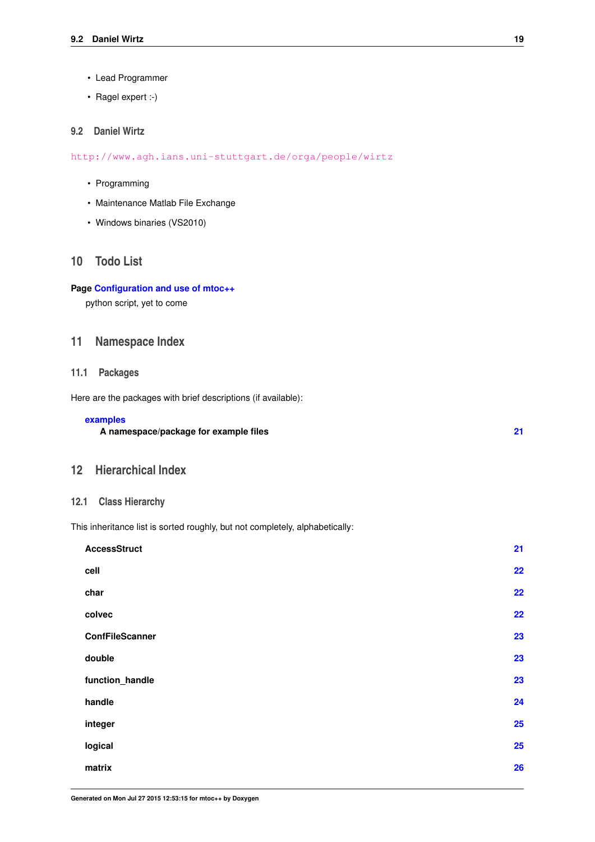- Lead Programmer
- Ragel expert :-)

# <span id="page-21-6"></span><span id="page-21-0"></span>**9.2 Daniel Wirtz**

<http://www.agh.ians.uni-stuttgart.de/orga/people/wirtz>

- Programming
- Maintenance Matlab File Exchange
- Windows binaries (VS2010)

# <span id="page-21-1"></span>**10 Todo List**

# <span id="page-21-7"></span>**Page [Configuration and use of mtoc++](#page-15-3)**

python script, yet to come

# <span id="page-21-2"></span>**11 Namespace Index**

## <span id="page-21-3"></span>**11.1 Packages**

Here are the packages with brief descriptions (if available):

| examples                              |  |
|---------------------------------------|--|
| A namespace/package for example files |  |

# <span id="page-21-4"></span>**12 Hierarchical Index**

## <span id="page-21-5"></span>**12.1 Class Hierarchy**

This inheritance list is sorted roughly, but not completely, alphabetically:

| 21 |
|----|
| 22 |
| 22 |
| 22 |
| 23 |
| 23 |
| 23 |
| 24 |
| 25 |
| 25 |
| 26 |
|    |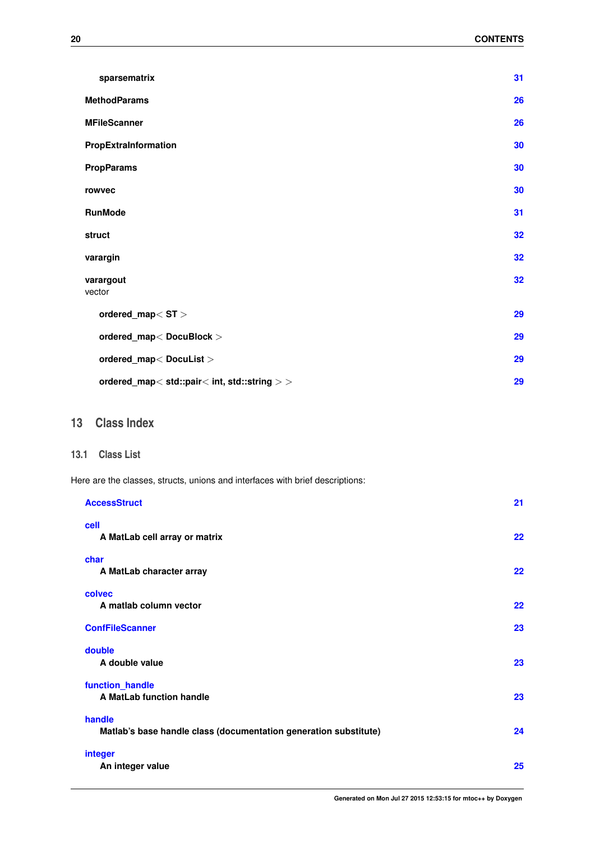| sparsematrix                                 | 31 |
|----------------------------------------------|----|
| <b>MethodParams</b>                          | 26 |
| <b>MFileScanner</b>                          | 26 |
| PropExtraInformation                         | 30 |
| <b>PropParams</b>                            | 30 |
| rowvec                                       | 30 |
| <b>RunMode</b>                               | 31 |
| struct                                       | 32 |
| varargin                                     | 32 |
| varargout<br>vector                          | 32 |
| ordered_map $<$ ST $>$                       | 29 |
| ordered_map< DocuBlock >                     | 29 |
| ordered_map< DocuList >                      | 29 |
| ordered_map< std::pair< int, std::string > > | 29 |

# <span id="page-22-0"></span>**13 Class Index**

# <span id="page-22-1"></span>**13.1 Class List**

Here are the classes, structs, unions and interfaces with brief descriptions:

| <b>AccessStruct</b>                                                        | 21 |
|----------------------------------------------------------------------------|----|
| cell<br>A MatLab cell array or matrix                                      | 22 |
| char<br>A MatLab character array                                           | 22 |
| colvec<br>A matlab column vector                                           | 22 |
| <b>ConfFileScanner</b>                                                     | 23 |
| double<br>A double value                                                   | 23 |
| function_handle<br>A MatLab function handle                                | 23 |
| handle<br>Matlab's base handle class (documentation generation substitute) | 24 |
| integer<br>An integer value                                                | 25 |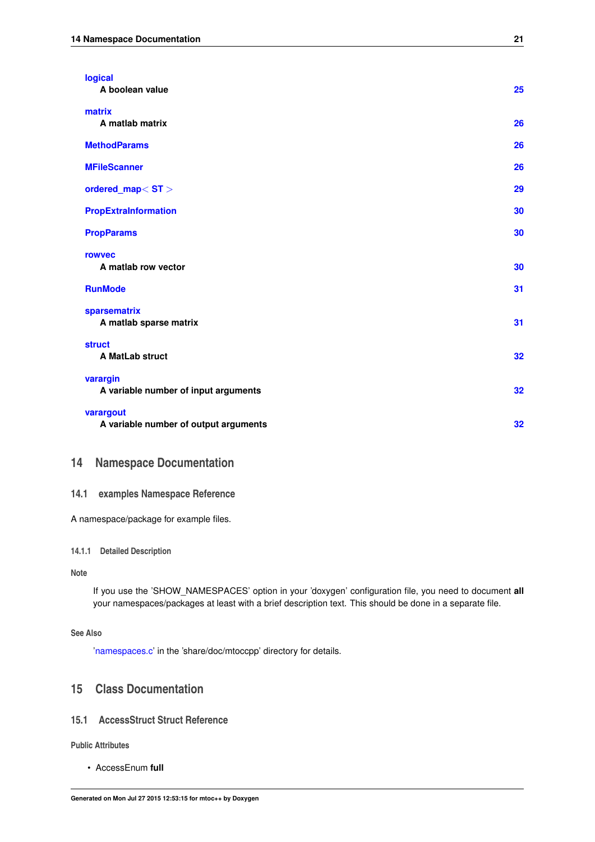<span id="page-23-5"></span>

| logical<br>A boolean value                         | 25 |
|----------------------------------------------------|----|
| matrix<br>A matlab matrix                          | 26 |
| <b>MethodParams</b>                                | 26 |
| <b>MFileScanner</b>                                | 26 |
| ordered_map $<$ ST $>$                             | 29 |
| <b>PropExtraInformation</b>                        | 30 |
| <b>PropParams</b>                                  | 30 |
| <b>rowvec</b><br>A matlab row vector               | 30 |
| <b>RunMode</b>                                     | 31 |
| sparsematrix<br>A matlab sparse matrix             | 31 |
| <b>struct</b><br>A MatLab struct                   | 32 |
| varargin<br>A variable number of input arguments   | 32 |
| varargout<br>A variable number of output arguments | 32 |

# <span id="page-23-0"></span>**14 Namespace Documentation**

## <span id="page-23-1"></span>**14.1 examples Namespace Reference**

A namespace/package for example files.

## <span id="page-23-2"></span>**14.1.1 Detailed Description**

**Note**

If you use the 'SHOW\_NAMESPACES' option in your 'doxygen' configuration file, you need to document **all** your namespaces/packages at least with a brief description text. This should be done in a separate file.

# **See Also**

['namespaces.c'](#page-0-0) in the 'share/doc/mtoccpp' directory for details.

# <span id="page-23-3"></span>**15 Class Documentation**

# <span id="page-23-4"></span>**15.1 AccessStruct Struct Reference**

**Public Attributes**

• AccessEnum **full**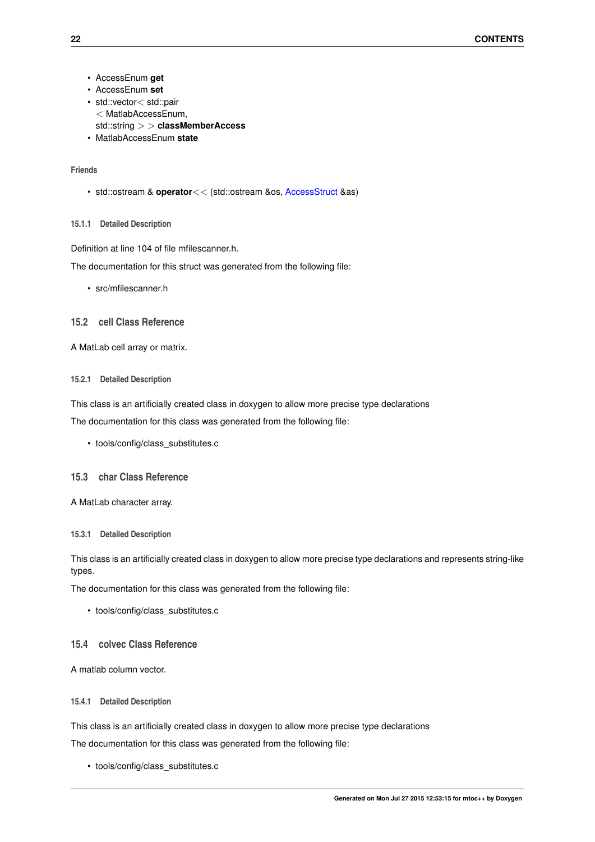- <span id="page-24-11"></span>• AccessEnum **get**
- AccessEnum **set**
- std::vector< std::pair
	- < MatlabAccessEnum,
- std::string > > **classMemberAccess**
- MatlabAccessEnum **state**

# **Friends**

• std::ostream & **operator**<< (std::ostream &os, [AccessStruct](#page-23-4) &as)

## <span id="page-24-0"></span>**15.1.1 Detailed Description**

Definition at line 104 of file mfilescanner.h.

The documentation for this struct was generated from the following file:

<span id="page-24-7"></span>• src/mfilescanner.h

## <span id="page-24-1"></span>**15.2 cell Class Reference**

A MatLab cell array or matrix.

## <span id="page-24-2"></span>**15.2.1 Detailed Description**

This class is an artificially created class in doxygen to allow more precise type declarations

The documentation for this class was generated from the following file:

• tools/config/class\_substitutes.c

## <span id="page-24-8"></span><span id="page-24-3"></span>**15.3 char Class Reference**

A MatLab character array.

## <span id="page-24-4"></span>**15.3.1 Detailed Description**

This class is an artificially created class in doxygen to allow more precise type declarations and represents string-like types.

The documentation for this class was generated from the following file:

• tools/config/class\_substitutes.c

# <span id="page-24-9"></span><span id="page-24-5"></span>**15.4 colvec Class Reference**

A matlab column vector.

## <span id="page-24-6"></span>**15.4.1 Detailed Description**

This class is an artificially created class in doxygen to allow more precise type declarations

The documentation for this class was generated from the following file:

<span id="page-24-10"></span>• tools/config/class\_substitutes.c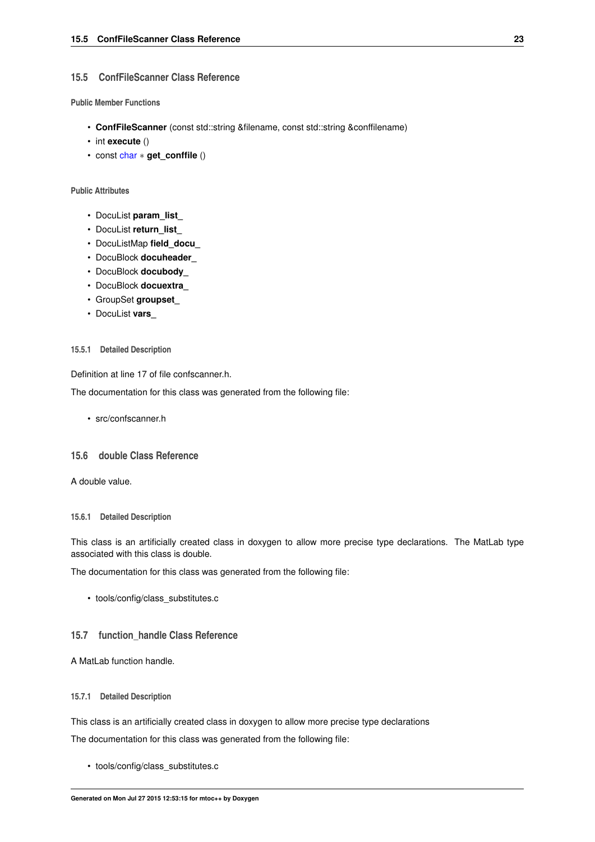## <span id="page-25-9"></span><span id="page-25-0"></span>**15.5 ConfFileScanner Class Reference**

**Public Member Functions**

- **ConfFileScanner** (const std::string &filename, const std::string &conffilename)
- int **execute** ()
- const [char](#page-24-8) ∗ **get\_conffile** ()

### **Public Attributes**

- DocuList **param\_list\_**
- DocuList **return\_list\_**
- DocuListMap **field\_docu\_**
- DocuBlock **docuheader\_**
- DocuBlock **docubody\_**
- DocuBlock **docuextra\_**
- GroupSet **groupset\_**
- DocuList **vars\_**

#### <span id="page-25-1"></span>**15.5.1 Detailed Description**

Definition at line 17 of file confscanner.h.

The documentation for this class was generated from the following file:

• src/confscanner.h

# <span id="page-25-6"></span><span id="page-25-2"></span>**15.6 double Class Reference**

A double value.

#### <span id="page-25-3"></span>**15.6.1 Detailed Description**

This class is an artificially created class in doxygen to allow more precise type declarations. The MatLab type associated with this class is double.

The documentation for this class was generated from the following file:

• tools/config/class\_substitutes.c

## <span id="page-25-7"></span><span id="page-25-4"></span>**15.7 function\_handle Class Reference**

A MatLab function handle.

## <span id="page-25-5"></span>**15.7.1 Detailed Description**

This class is an artificially created class in doxygen to allow more precise type declarations The documentation for this class was generated from the following file:

<span id="page-25-8"></span>• tools/config/class\_substitutes.c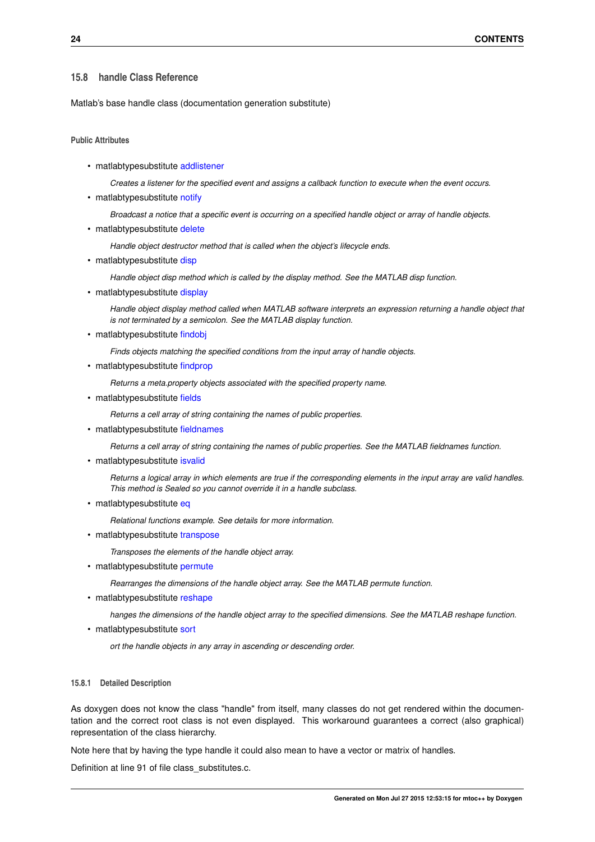## <span id="page-26-14"></span><span id="page-26-0"></span>**15.8 handle Class Reference**

Matlab's base handle class (documentation generation substitute)

**Public Attributes**

• matlabtypesubstitute [addlistener](#page-27-8)

*Creates a listener for the specified event and assigns a callback function to execute when the event occurs.*

<span id="page-26-2"></span>• matlabtypesubstitute [notify](#page-26-2)

*Broadcast a notice that a specific event is occurring on a specified handle object or array of handle objects.*

<span id="page-26-3"></span>• matlabtypesubstitute [delete](#page-26-3)

*Handle object destructor method that is called when the object's lifecycle ends.*

<span id="page-26-4"></span>• matlabtypesubstitute [disp](#page-26-4)

*Handle object disp method which is called by the display method. See the MATLAB disp function.*

<span id="page-26-5"></span>• matlabtypesubstitute [display](#page-26-5)

*Handle object display method called when MATLAB software interprets an expression returning a handle object that is not terminated by a semicolon. See the MATLAB display function.*

<span id="page-26-6"></span>• matlabtypesubstitute [findobj](#page-26-6)

*Finds objects matching the specified conditions from the input array of handle objects.*

<span id="page-26-7"></span>• matlabtypesubstitute [findprop](#page-26-7)

*Returns a meta.property objects associated with the specified property name.*

<span id="page-26-8"></span>• matlabtypesubstitute [fields](#page-26-8)

*Returns a cell array of string containing the names of public properties.*

<span id="page-26-9"></span>• matlabtypesubstitute [fieldnames](#page-26-9)

*Returns a cell array of string containing the names of public properties. See the MATLAB fieldnames function.*

<span id="page-26-10"></span>• matlabtypesubstitute [isvalid](#page-26-10)

*Returns a logical array in which elements are true if the corresponding elements in the input array are valid handles. This method is Sealed so you cannot override it in a handle subclass.*

• matlabtypesubstitute [eq](#page-27-9)

*Relational functions example. See details for more information.*

<span id="page-26-11"></span>• matlabtypesubstitute [transpose](#page-26-11)

*Transposes the elements of the handle object array.*

<span id="page-26-12"></span>• matlabtypesubstitute [permute](#page-26-12)

*Rearranges the dimensions of the handle object array. See the MATLAB permute function.*

<span id="page-26-13"></span>• matlabtypesubstitute [reshape](#page-26-13)

*hanges the dimensions of the handle object array to the specified dimensions. See the MATLAB reshape function.*

• matlabtypesubstitute [sort](#page-27-10)

*ort the handle objects in any array in ascending or descending order.*

#### <span id="page-26-1"></span>**15.8.1 Detailed Description**

As doxygen does not know the class "handle" from itself, many classes do not get rendered within the documentation and the correct root class is not even displayed. This workaround guarantees a correct (also graphical) representation of the class hierarchy.

Note here that by having the type handle it could also mean to have a vector or matrix of handles.

Definition at line 91 of file class substitutes.c.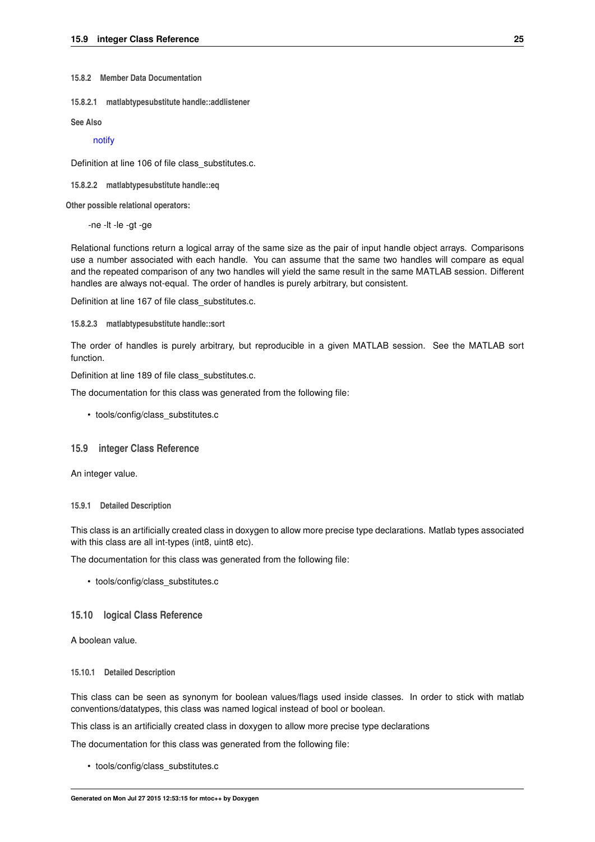<span id="page-27-11"></span><span id="page-27-0"></span>**15.8.2 Member Data Documentation**

<span id="page-27-8"></span>**15.8.2.1 matlabtypesubstitute handle::addlistener**

**See Also**

[notify](#page-26-2)

<span id="page-27-9"></span>Definition at line 106 of file class substitutes.c.

**15.8.2.2 matlabtypesubstitute handle::eq**

**Other possible relational operators:**

-ne -lt -le -gt -ge

Relational functions return a logical array of the same size as the pair of input handle object arrays. Comparisons use a number associated with each handle. You can assume that the same two handles will compare as equal and the repeated comparison of any two handles will yield the same result in the same MATLAB session. Different handles are always not-equal. The order of handles is purely arbitrary, but consistent.

<span id="page-27-10"></span>Definition at line 167 of file class substitutes.c.

**15.8.2.3 matlabtypesubstitute handle::sort**

The order of handles is purely arbitrary, but reproducible in a given MATLAB session. See the MATLAB sort function.

Definition at line 189 of file class substitutes.c.

The documentation for this class was generated from the following file:

<span id="page-27-5"></span>• tools/config/class\_substitutes.c

#### <span id="page-27-1"></span>**15.9 integer Class Reference**

An integer value.

#### <span id="page-27-2"></span>**15.9.1 Detailed Description**

This class is an artificially created class in doxygen to allow more precise type declarations. Matlab types associated with this class are all int-types (int8, uint8 etc).

The documentation for this class was generated from the following file:

• tools/config/class\_substitutes.c

# <span id="page-27-6"></span><span id="page-27-3"></span>**15.10 logical Class Reference**

A boolean value.

#### <span id="page-27-4"></span>**15.10.1 Detailed Description**

This class can be seen as synonym for boolean values/flags used inside classes. In order to stick with matlab conventions/datatypes, this class was named logical instead of bool or boolean.

This class is an artificially created class in doxygen to allow more precise type declarations

The documentation for this class was generated from the following file:

<span id="page-27-7"></span>• tools/config/class\_substitutes.c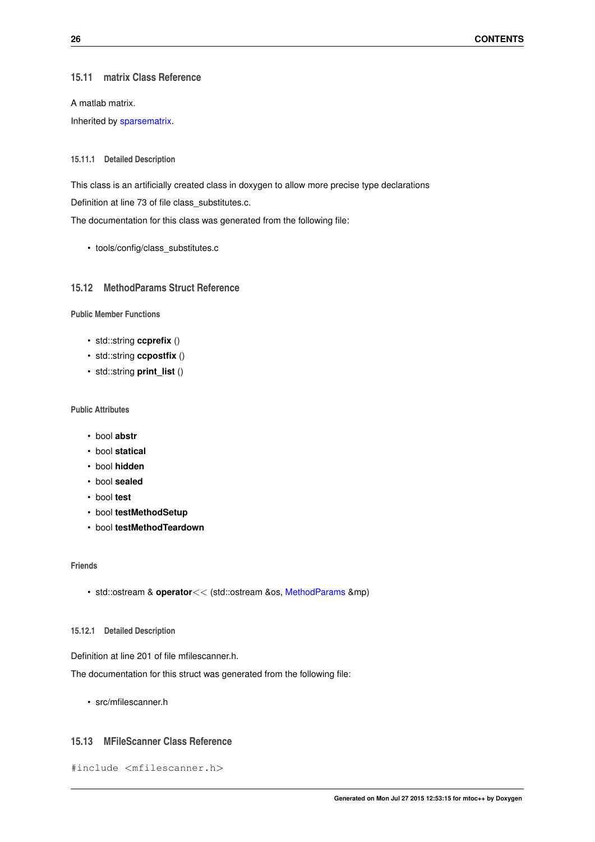## <span id="page-28-7"></span><span id="page-28-0"></span>**15.11 matrix Class Reference**

A matlab matrix.

Inherited by [sparsematrix.](#page-33-6)

## <span id="page-28-1"></span>**15.11.1 Detailed Description**

This class is an artificially created class in doxygen to allow more precise type declarations Definition at line 73 of file class\_substitutes.c.

The documentation for this class was generated from the following file:

• tools/config/class\_substitutes.c

## <span id="page-28-6"></span><span id="page-28-2"></span>**15.12 MethodParams Struct Reference**

**Public Member Functions**

- std::string **ccprefix** ()
- std::string **ccpostfix** ()
- std::string **print\_list** ()

## **Public Attributes**

- bool **abstr**
- bool **statical**
- bool **hidden**
- bool **sealed**
- bool **test**
- bool **testMethodSetup**
- bool **testMethodTeardown**

## **Friends**

• std::ostream & **operator**<< (std::ostream &os, [MethodParams](#page-28-6) &mp)

## <span id="page-28-3"></span>**15.12.1 Detailed Description**

Definition at line 201 of file mfilescanner.h.

The documentation for this struct was generated from the following file:

• src/mfilescanner.h

## <span id="page-28-5"></span><span id="page-28-4"></span>**15.13 MFileScanner Class Reference**

```
#include <mfilescanner.h>
```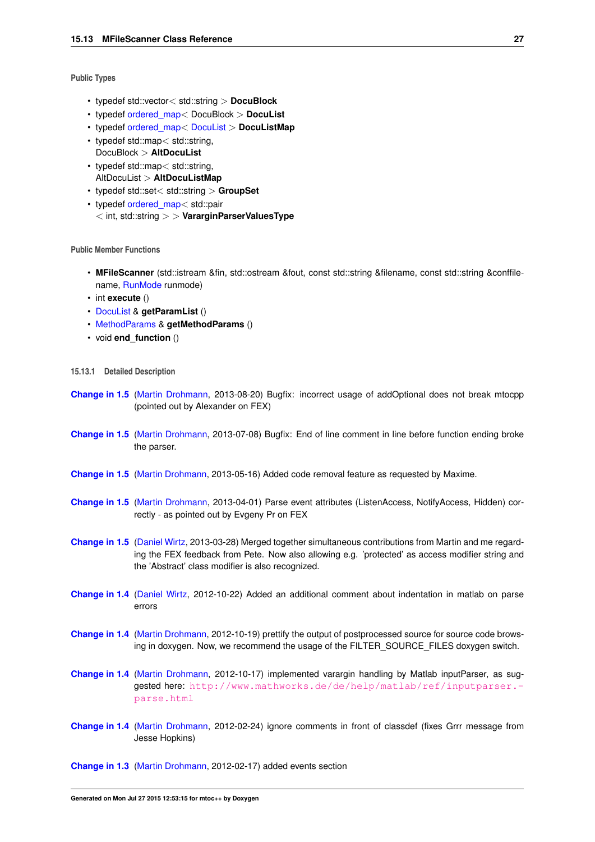#### **Public Types**

- typedef std::vector< std::string > **DocuBlock**
- typedef [ordered\\_map](#page-31-2)< DocuBlock > **DocuList**
- typedef [ordered\\_map](#page-31-2)< [DocuList](#page-31-2) > **DocuListMap**
- typedef std::map< std::string, DocuBlock > **AltDocuList**
- typedef std::map< std::string.
- AltDocuList > **AltDocuListMap**
- typedef std::set< std::string > **GroupSet**
- typedef ordered map< std::pair
	- < int, std::string > > **VararginParserValuesType**

**Public Member Functions**

- **MFileScanner** (std::istream &fin, std::ostream &fout, const std::string &filename, const std::string &conffilename, [RunMode](#page-33-5) runmode)
- int **execute** ()
- [DocuList](#page-31-2) & **getParamList** ()
- [MethodParams](#page-28-6) & **getMethodParams** ()
- void **end\_function** ()
- <span id="page-29-0"></span>**15.13.1 Detailed Description**
- **[Change in 1.5](#page-10-6)** [\(Martin Drohmann,](#page-20-5) 2013-08-20) Bugfix: incorrect usage of addOptional does not break mtocpp (pointed out by Alexander on FEX)
- **[Change in 1.5](#page-0-0)** [\(Martin Drohmann,](#page-20-5) 2013-07-08) Bugfix: End of line comment in line before function ending broke the parser.
- **[Change in 1.5](#page-0-0)** [\(Martin Drohmann,](#page-20-5) 2013-05-16) Added code removal feature as requested by Maxime.
- **[Change in 1.5](#page-0-0)** [\(Martin Drohmann,](#page-20-5) 2013-04-01) Parse event attributes (ListenAccess, NotifyAccess, Hidden) correctly - as pointed out by Evgeny Pr on FEX
- **[Change in 1.5](#page-0-0)** [\(Daniel Wirtz,](#page-21-6) 2013-03-28) Merged together simultaneous contributions from Martin and me regarding the FEX feedback from Pete. Now also allowing e.g. 'protected' as access modifier string and the 'Abstract' class modifier is also recognized.
- **[Change in 1.4](#page-9-8)** [\(Daniel Wirtz,](#page-21-6) 2012-10-22) Added an additional comment about indentation in matlab on parse errors
- **[Change in 1.4](#page-0-0)** [\(Martin Drohmann,](#page-20-5) 2012-10-19) prettify the output of postprocessed source for source code browsing in doxygen. Now, we recommend the usage of the FILTER\_SOURCE\_FILES doxygen switch.
- **[Change in 1.4](#page-0-0)** [\(Martin Drohmann,](#page-20-5) 2012-10-17) implemented varargin handling by Matlab inputParser, as suggested here: [http://www.mathworks.de/de/help/matlab/ref/inputparser.](http://www.mathworks.de/de/help/matlab/ref/inputparser.parse.html) [parse.html](http://www.mathworks.de/de/help/matlab/ref/inputparser.parse.html)
- **[Change in 1.4](#page-0-0)** [\(Martin Drohmann,](#page-20-5) 2012-02-24) ignore comments in front of classdef (fixes Grrr message from Jesse Hopkins)

**[Change in 1.3](#page-8-4)** [\(Martin Drohmann,](#page-20-5) 2012-02-17) added events section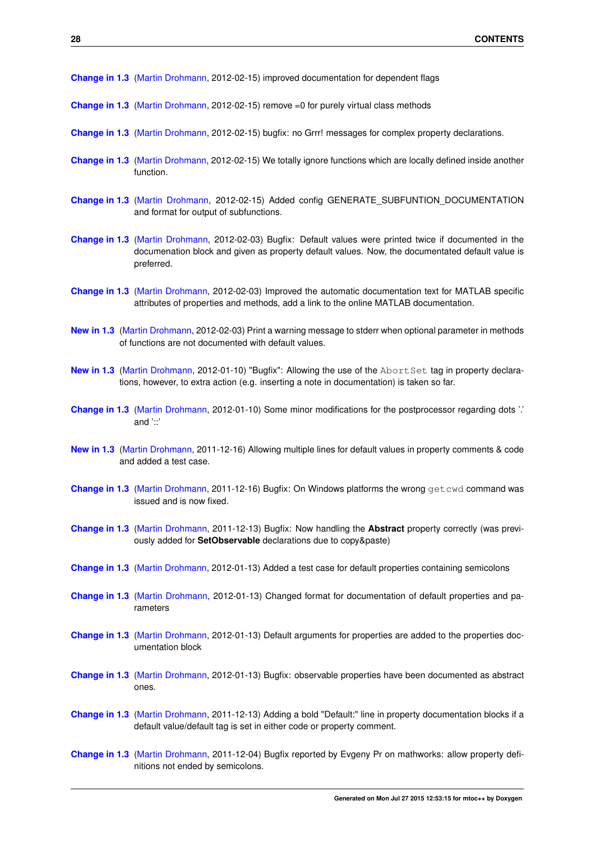**[Change in 1.3](#page-0-0)** [\(Martin Drohmann,](#page-20-5) 2012-02-15) improved documentation for dependent flags

- **[Change in 1.3](#page-0-0)** [\(Martin Drohmann,](#page-20-5) 2012-02-15) remove =0 for purely virtual class methods
- **[Change in 1.3](#page-0-0)** [\(Martin Drohmann,](#page-20-5) 2012-02-15) bugfix: no Grrr! messages for complex property declarations.
- **[Change in 1.3](#page-0-0)** [\(Martin Drohmann,](#page-20-5) 2012-02-15) We totally ignore functions which are locally defined inside another function.
- **[Change in 1.3](#page-0-0)** [\(Martin Drohmann,](#page-20-5) 2012-02-15) Added config GENERATE\_SUBFUNTION\_DOCUMENTATION and format for output of subfunctions.
- **[Change in 1.3](#page-0-0)** [\(Martin Drohmann,](#page-20-5) 2012-02-03) Bugfix: Default values were printed twice if documented in the documenation block and given as property default values. Now, the documentated default value is preferred.
- **[Change in 1.3](#page-0-0)** [\(Martin Drohmann,](#page-20-5) 2012-02-03) Improved the automatic documentation text for MATLAB specific attributes of properties and methods, add a link to the online MATLAB documentation.
- **[New in 1.3](#page-7-9)** [\(Martin Drohmann,](#page-20-5) 2012-02-03) Print a warning message to stderr when optional parameter in methods of functions are not documented with default values.
- **[New in 1.3](#page-0-0)** [\(Martin Drohmann,](#page-20-5) 2012-01-10) "Bugfix": Allowing the use of the Abort Set tag in property declarations, however, to extra action (e.g. inserting a note in documentation) is taken so far.
- **[Change in 1.3](#page-0-0)** [\(Martin Drohmann,](#page-20-5) 2012-01-10) Some minor modifications for the postprocessor regarding dots '.' and '::'
- **[New in 1.3](#page-0-0)** [\(Martin Drohmann,](#page-20-5) 2011-12-16) Allowing multiple lines for default values in property comments & code and added a test case.
- **[Change in 1.3](#page-0-0)** [\(Martin Drohmann,](#page-20-5) 2011-12-16) Bugfix: On Windows platforms the wrong get cwd command was issued and is now fixed.
- **[Change in 1.3](#page-0-0)** [\(Martin Drohmann,](#page-20-5) 2011-12-13) Bugfix: Now handling the **Abstract** property correctly (was previously added for **SetObservable** declarations due to copy&paste)
- **[Change in 1.3](#page-0-0)** [\(Martin Drohmann,](#page-20-5) 2012-01-13) Added a test case for default properties containing semicolons
- **[Change in 1.3](#page-0-0)** [\(Martin Drohmann,](#page-20-5) 2012-01-13) Changed format for documentation of default properties and parameters
- **[Change in 1.3](#page-0-0)** [\(Martin Drohmann,](#page-20-5) 2012-01-13) Default arguments for properties are added to the properties documentation block
- **[Change in 1.3](#page-0-0)** [\(Martin Drohmann,](#page-20-5) 2012-01-13) Bugfix: observable properties have been documented as abstract ones.
- **[Change in 1.3](#page-0-0)** [\(Martin Drohmann,](#page-20-5) 2011-12-13) Adding a bold "Default:" line in property documentation blocks if a default value/default tag is set in either code or property comment.
- **[Change in 1.3](#page-0-0)** [\(Martin Drohmann,](#page-20-5) 2011-12-04) Bugfix reported by Evgeny Pr on mathworks: allow property definitions not ended by semicolons.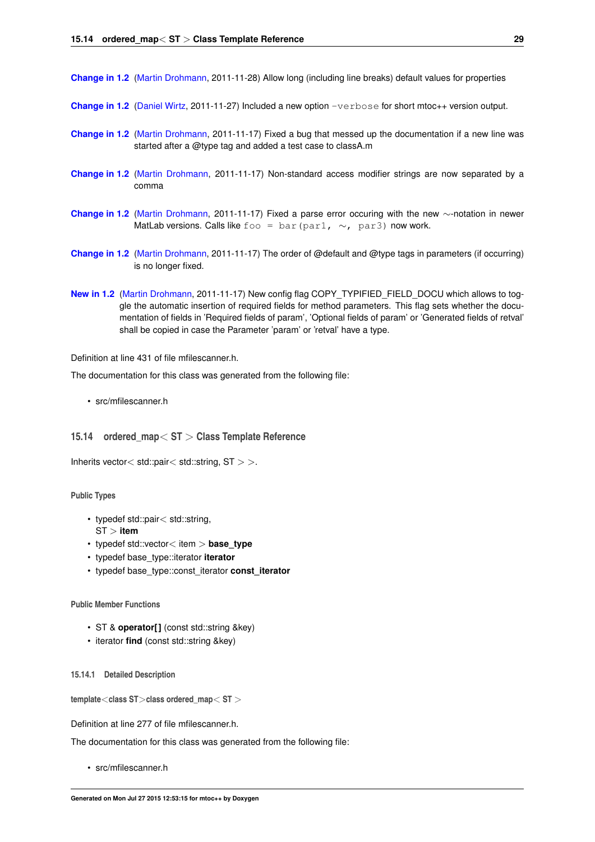<span id="page-31-4"></span>**[Change in 1.2](#page-7-10)** [\(Martin Drohmann,](#page-20-5) 2011-11-28) Allow long (including line breaks) default values for properties

- **[Change in 1.2](#page-0-0)** [\(Daniel Wirtz,](#page-21-6) 2011-11-27) Included a new option  $-\text{verbose}$  for short mtoc<sub>++</sub> version output.
- **[Change in 1.2](#page-0-0)** [\(Martin Drohmann,](#page-20-5) 2011-11-17) Fixed a bug that messed up the documentation if a new line was started after a @type tag and added a test case to classA.m
- **[Change in 1.2](#page-0-0)** [\(Martin Drohmann,](#page-20-5) 2011-11-17) Non-standard access modifier strings are now separated by a comma
- **[Change in 1.2](#page-0-0)** [\(Martin Drohmann,](#page-20-5) 2011-11-17) Fixed a parse error occuring with the new ∼-notation in newer MatLab versions. Calls like foo = bar(par1,  $\sim$ , par3) now work.
- **[Change in 1.2](#page-0-0)** [\(Martin Drohmann,](#page-20-5) 2011-11-17) The order of @default and @type tags in parameters (if occurring) is no longer fixed.
- **[New in 1.2](#page-7-11)** [\(Martin Drohmann,](#page-20-5) 2011-11-17) New config flag COPY\_TYPIFIED\_FIELD\_DOCU which allows to toggle the automatic insertion of required fields for method parameters. This flag sets whether the documentation of fields in 'Required fields of param', 'Optional fields of param' or 'Generated fields of retval' shall be copied in case the Parameter 'param' or 'retval' have a type.

Definition at line 431 of file mfilescanner.h.

The documentation for this class was generated from the following file:

• src/mfilescanner.h

## <span id="page-31-2"></span><span id="page-31-0"></span>**15.14 ordered\_map**< **ST** > **Class Template Reference**

```
Inherits vector< std::pair< std::string, ST > >.
```
#### **Public Types**

- typedef std::pair< std::string, ST > **item**
- typedef std::vector< item > **base\_type**
- typedef base\_type::iterator **iterator**
- typedef base\_type::const\_iterator **const\_iterator**

#### **Public Member Functions**

- ST & **operator[ ]** (const std::string &key)
- iterator **find** (const std::string &key)

<span id="page-31-1"></span>**15.14.1 Detailed Description**

**template**<**class ST**>**class ordered\_map**< **ST** >

Definition at line 277 of file mfilescanner.h.

The documentation for this class was generated from the following file:

<span id="page-31-3"></span>• src/mfilescanner.h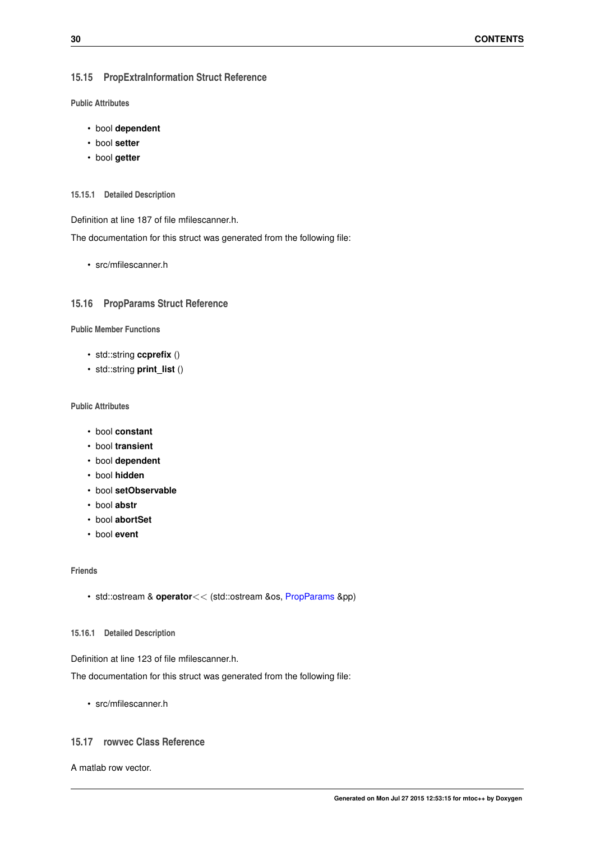## <span id="page-32-7"></span><span id="page-32-0"></span>**15.15 PropExtraInformation Struct Reference**

**Public Attributes**

- bool **dependent**
- bool **setter**
- bool **getter**

<span id="page-32-1"></span>**15.15.1 Detailed Description**

Definition at line 187 of file mfilescanner.h.

The documentation for this struct was generated from the following file:

• src/mfilescanner.h

## <span id="page-32-5"></span><span id="page-32-2"></span>**15.16 PropParams Struct Reference**

**Public Member Functions**

- std::string **ccprefix** ()
- std::string **print\_list** ()

## **Public Attributes**

- bool **constant**
- bool **transient**
- bool **dependent**
- bool **hidden**
- bool **setObservable**
- bool **abstr**
- bool **abortSet**
- bool **event**

## **Friends**

• std::ostream & **operator**<< (std::ostream &os, [PropParams](#page-32-5) &pp)

#### <span id="page-32-3"></span>**15.16.1 Detailed Description**

Definition at line 123 of file mfilescanner.h.

The documentation for this struct was generated from the following file:

• src/mfilescanner.h

# <span id="page-32-6"></span><span id="page-32-4"></span>**15.17 rowvec Class Reference**

A matlab row vector.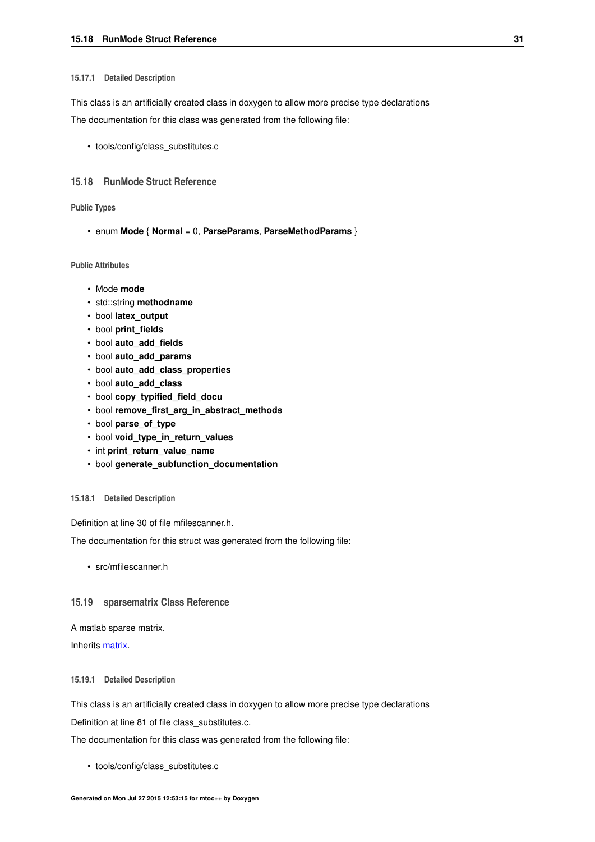#### <span id="page-33-8"></span><span id="page-33-0"></span>**15.17.1 Detailed Description**

This class is an artificially created class in doxygen to allow more precise type declarations

The documentation for this class was generated from the following file:

• tools/config/class\_substitutes.c

## <span id="page-33-5"></span><span id="page-33-1"></span>**15.18 RunMode Struct Reference**

#### **Public Types**

• enum **Mode** { **Normal** = 0, **ParseParams**, **ParseMethodParams** }

#### **Public Attributes**

- Mode **mode**
- std::string **methodname**
- bool **latex\_output**
- bool **print\_fields**
- bool **auto\_add\_fields**
- bool **auto\_add\_params**
- bool **auto\_add\_class\_properties**
- bool **auto\_add\_class**
- bool **copy\_typified\_field\_docu**
- bool **remove\_first\_arg\_in\_abstract\_methods**
- bool **parse\_of\_type**
- bool **void\_type\_in\_return\_values**
- int **print\_return\_value\_name**
- bool **generate\_subfunction\_documentation**

## <span id="page-33-2"></span>**15.18.1 Detailed Description**

Definition at line 30 of file mfilescanner.h.

The documentation for this struct was generated from the following file:

• src/mfilescanner.h

## <span id="page-33-6"></span><span id="page-33-3"></span>**15.19 sparsematrix Class Reference**

A matlab sparse matrix. Inherits [matrix.](#page-27-7)

## <span id="page-33-4"></span>**15.19.1 Detailed Description**

This class is an artificially created class in doxygen to allow more precise type declarations

Definition at line 81 of file class substitutes.c.

The documentation for this class was generated from the following file:

<span id="page-33-7"></span>• tools/config/class\_substitutes.c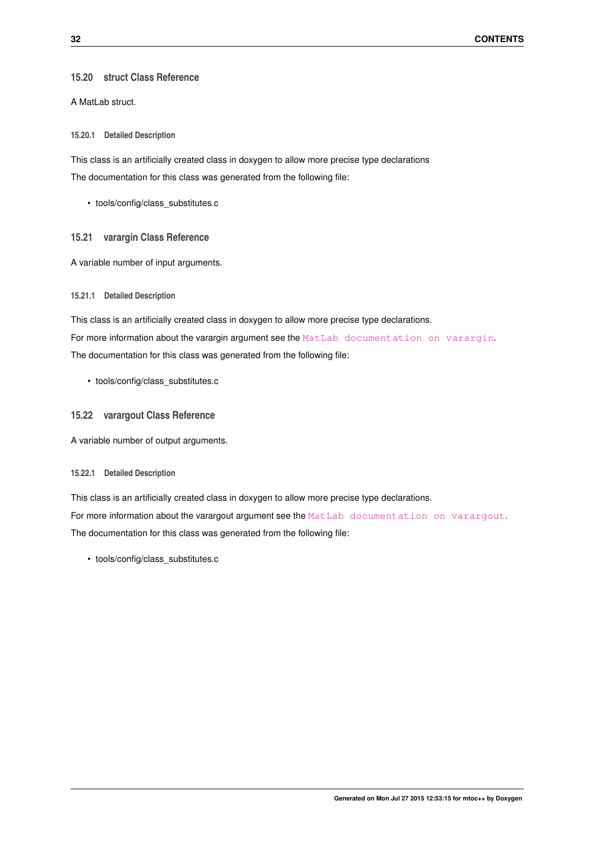## <span id="page-34-8"></span><span id="page-34-0"></span>**15.20 struct Class Reference**

A MatLab struct.

#### <span id="page-34-1"></span>**15.20.1 Detailed Description**

This class is an artificially created class in doxygen to allow more precise type declarations The documentation for this class was generated from the following file:

• tools/config/class\_substitutes.c

## <span id="page-34-6"></span><span id="page-34-2"></span>**15.21 varargin Class Reference**

A variable number of input arguments.

#### <span id="page-34-3"></span>**15.21.1 Detailed Description**

This class is an artificially created class in doxygen to allow more precise type declarations. For more information about the varargin argument see the [MatLab documentation on varargin](http://www.mathworks.de/help/techdoc/ref/varargin.html). The documentation for this class was generated from the following file:

• tools/config/class\_substitutes.c

## <span id="page-34-7"></span><span id="page-34-4"></span>**15.22 varargout Class Reference**

A variable number of output arguments.

#### <span id="page-34-5"></span>**15.22.1 Detailed Description**

This class is an artificially created class in doxygen to allow more precise type declarations.

For more information about the varargout argument see the [MatLab documentation on varargout](http://www.mathworks.de/help/techdoc/ref/varargout.html). The documentation for this class was generated from the following file:

• tools/config/class\_substitutes.c